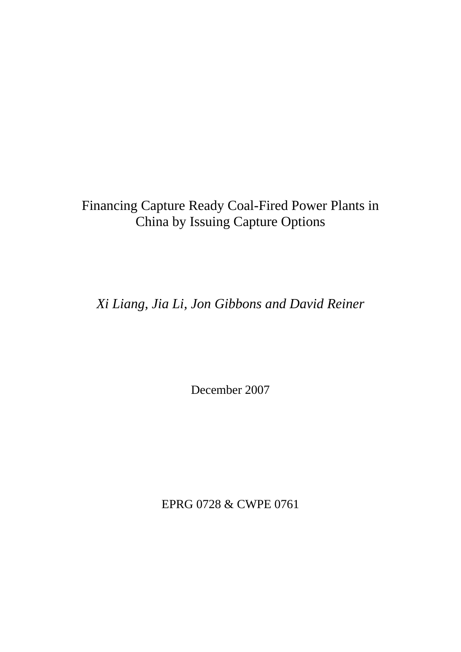# Financing Capture Ready Coal-Fired Power Plants in China by Issuing Capture Options

*Xi Liang, Jia Li, Jon Gibbons and David Reiner*

December 2007

EPRG 0728 & CWPE 0761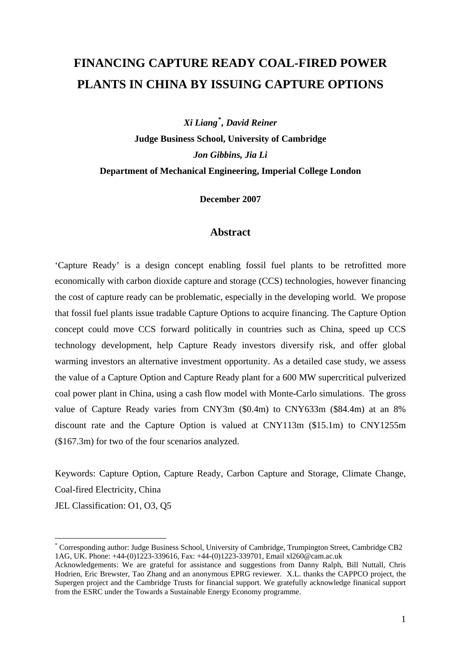# **FINANCING CAPTURE READY COAL-FIRED POWER PLANTS IN CHINA BY ISSUING CAPTURE OPTIONS**

*Xi Liang[\\*](#page-1-0) , David Reiner*  **Judge Business School, University of Cambridge** *Jon Gibbins, Jia Li* **Department of Mechanical Engineering, Imperial College London** 

**December 2007** 

## **Abstract**

'Capture Ready' is a design concept enabling fossil fuel plants to be retrofitted more economically with carbon dioxide capture and storage (CCS) technologies, however financing the cost of capture ready can be problematic, especially in the developing world. We propose that fossil fuel plants issue tradable Capture Options to acquire financing. The Capture Option concept could move CCS forward politically in countries such as China, speed up CCS technology development, help Capture Ready investors diversify risk, and offer global warming investors an alternative investment opportunity. As a detailed case study, we assess the value of a Capture Option and Capture Ready plant for a 600 MW supercritical pulverized coal power plant in China, using a cash flow model with Monte-Carlo simulations. The gross value of Capture Ready varies from CNY3m (\$0.4m) to CNY633m (\$84.4m) at an 8% discount rate and the Capture Option is valued at CNY113m (\$15.1m) to CNY1255m (\$167.3m) for two of the four scenarios analyzed.

Keywords: Capture Option, Capture Ready, Carbon Capture and Storage, Climate Change, Coal-fired Electricity, China

JEL Classification: O1, O3, Q5

1

<span id="page-1-0"></span><sup>\*</sup> Corresponding author: Judge Business School, University of Cambridge, Trumpington Street, Cambridge CB2 1AG, UK. Phone: +44-(0)1223-339616, Fax: +44-(0)1223-339701, Email xl260@cam.ac.uk

Acknowledgements: We are grateful for assistance and suggestions from Danny Ralph, Bill Nuttall, Chris Hodrien, Eric Brewster, Tao Zhang and an anonymous EPRG reviewer. X.L. thanks the CAPPCO project, the Supergen project and the Cambridge Trusts for financial support. We gratefully acknowledge finanical support from the ESRC under the Towards a Sustainable Energy Economy programme.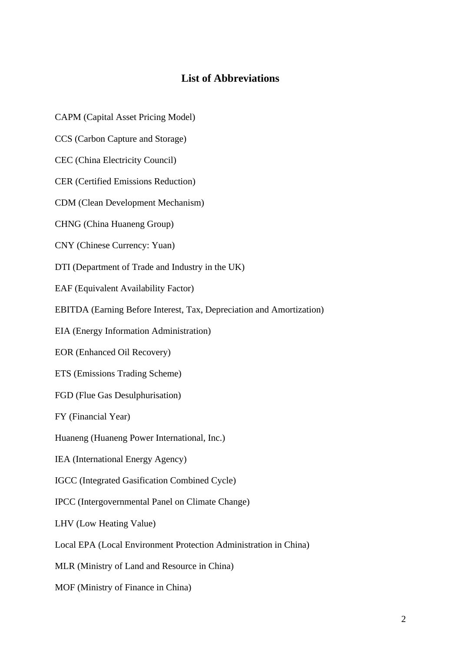# **List of Abbreviations**

CAPM (Capital Asset Pricing Model)

CCS (Carbon Capture and Storage)

CEC (China Electricity Council)

CER (Certified Emissions Reduction)

CDM (Clean Development Mechanism)

CHNG (China Huaneng Group)

CNY (Chinese Currency: Yuan)

DTI (Department of Trade and Industry in the UK)

EAF (Equivalent Availability Factor)

EBITDA (Earning Before Interest, Tax, Depreciation and Amortization)

EIA (Energy Information Administration)

EOR (Enhanced Oil Recovery)

ETS (Emissions Trading Scheme)

FGD (Flue Gas Desulphurisation)

FY (Financial Year)

Huaneng (Huaneng Power International, Inc.)

IEA (International Energy Agency)

IGCC (Integrated Gasification Combined Cycle)

IPCC (Intergovernmental Panel on Climate Change)

LHV (Low Heating Value)

Local EPA (Local Environment Protection Administration in China)

MLR (Ministry of Land and Resource in China)

MOF (Ministry of Finance in China)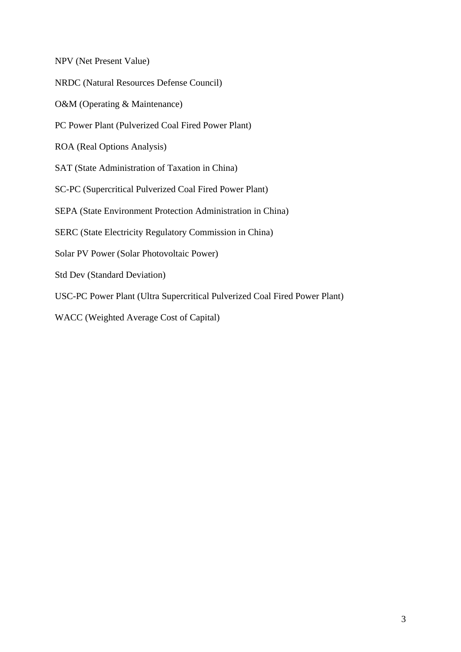NPV (Net Present Value)

NRDC (Natural Resources Defense Council)

O&M (Operating & Maintenance)

PC Power Plant (Pulverized Coal Fired Power Plant)

ROA (Real Options Analysis)

SAT (State Administration of Taxation in China)

SC-PC (Supercritical Pulverized Coal Fired Power Plant)

SEPA (State Environment Protection Administration in China)

SERC (State Electricity Regulatory Commission in China)

Solar PV Power (Solar Photovoltaic Power)

Std Dev (Standard Deviation)

USC-PC Power Plant (Ultra Supercritical Pulverized Coal Fired Power Plant)

WACC (Weighted Average Cost of Capital)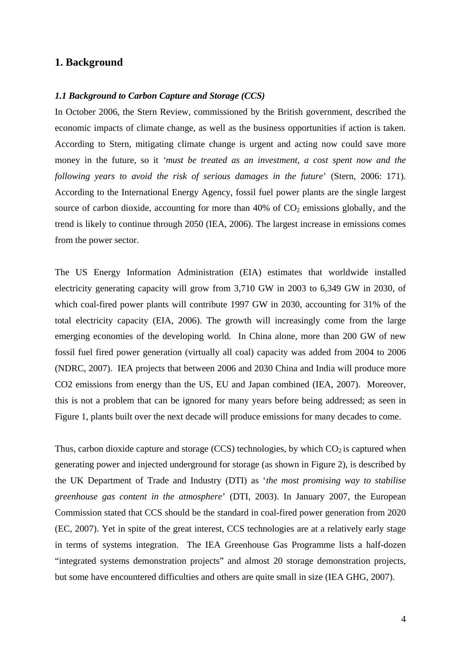## **1. Background**

#### *1.1 Background to Carbon Capture and Storage (CCS)*

In October 2006, the Stern Review, commissioned by the British government, described the economic impacts of climate change, as well as the business opportunities if action is taken. According to Stern, mitigating climate change is urgent and acting now could save more money in the future, so it *'must be treated as an investment, a cost spent now and the following years to avoid the risk of serious damages in the future*' (Stern, 2006: 171). According to the International Energy Agency, fossil fuel power plants are the single largest source of carbon dioxide, accounting for more than  $40\%$  of  $CO<sub>2</sub>$  emissions globally, and the trend is likely to continue through 2050 (IEA, 2006). The largest increase in emissions comes from the power sector.

The US Energy Information Administration (EIA) estimates that worldwide installed electricity generating capacity will grow from 3,710 GW in 2003 to 6,349 GW in 2030, of which coal-fired power plants will contribute 1997 GW in 2030, accounting for 31% of the total electricity capacity (EIA, 2006). The growth will increasingly come from the large emerging economies of the developing world. In China alone, more than 200 GW of new fossil fuel fired power generation (virtually all coal) capacity was added from 2004 to 2006 (NDRC, 2007). IEA projects that between 2006 and 2030 China and India will produce more CO2 emissions from energy than the US, EU and Japan combined (IEA, 2007). Moreover, this is not a problem that can be ignored for many years before being addressed; as seen in Figure 1, plants built over the next decade will produce emissions for many decades to come.

Thus, carbon dioxide capture and storage (CCS) technologies, by which  $CO_2$  is captured when generating power and injected underground for storage (as shown in Figure 2), is described by the UK Department of Trade and Industry (DTI) as '*the most promising way to stabilise greenhouse gas content in the atmosphere*' (DTI, 2003). In January 2007, the European Commission stated that CCS should be the standard in coal-fired power generation from 2020 (EC, 2007). Yet in spite of the great interest, CCS technologies are at a relatively early stage in terms of systems integration. The IEA Greenhouse Gas Programme lists a half-dozen "integrated systems demonstration projects" and almost 20 storage demonstration projects, but some have encountered difficulties and others are quite small in size (IEA GHG, 2007).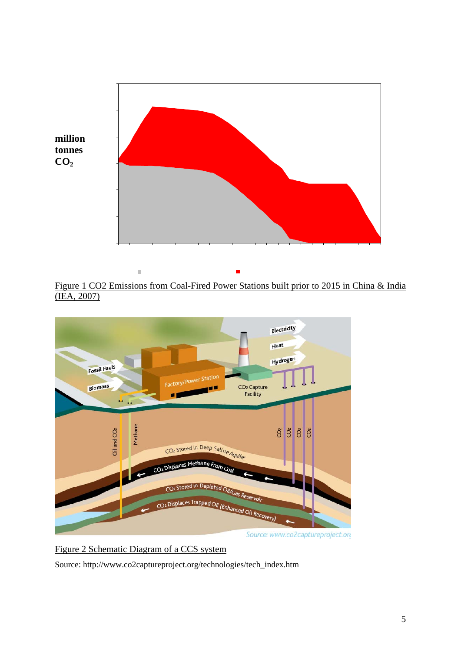

Figure 1 CO2 Emissions from Coal-Fired Power Stations built prior to 2015 in China & India (IEA, 2007)



Figure 2 Schematic Diagram of a CCS system

Source: http://www.co2captureproject.org/technologies/tech\_index.htm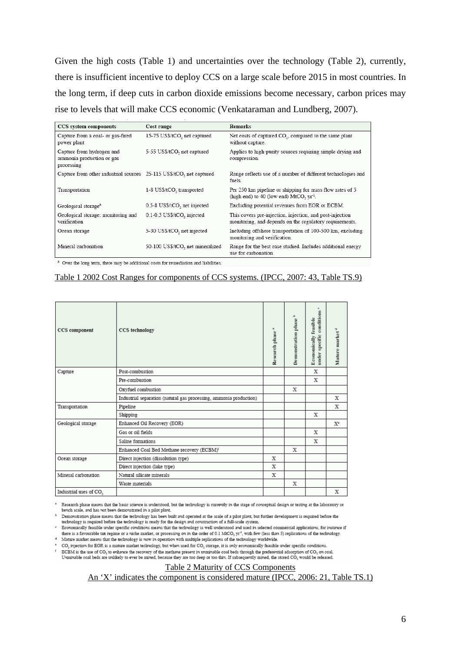Given the high costs (Table 1) and uncertainties over the technology (Table 2), currently, there is insufficient incentive to deploy CCS on a large scale before 2015 in most countries. In the long term, if deep cuts in carbon dioxide emissions become necessary, carbon prices may rise to levels that will make CCS economic (Venkataraman and Lundberg, 2007).

| CCS system components                                                | Cost range                       | <b>Remarks</b>                                                                                                      |
|----------------------------------------------------------------------|----------------------------------|---------------------------------------------------------------------------------------------------------------------|
| Capture from a coal- or gas-fired<br>power plant                     | 15-75 US\$/tCO, net captured     | Net costs of captured CO <sub>2</sub> , compared to the same plant<br>without capture.                              |
| Capture from hydrogen and<br>ammonia production or gas<br>processing | 5-55 US\$/tCO, net captured      | Applies to high-purity sources requiring simple drying and<br>compression.                                          |
| Capture from other industrial sources 25-115 US\$/tCO, net captured  |                                  | Range reflects use of a number of different technologies and<br>fuels.                                              |
| Transportation                                                       | 1-8 US\$/tCO, transported        | Per 250 km pipeline or shipping for mass flow rates of 5<br>(high end) to 40 (low end) MtCO, $yr1$ .                |
| Geological storage <sup>a</sup>                                      | 0.5-8 US\$/tCO, net injected     | Excluding potential revenues from EOR or ECBM.                                                                      |
| Geological storage: monitoring and<br>verification                   | 0.1-0.3 US\$/tCO, injected       | This covers pre-injection, injection, and post-injection<br>monitoring, and depends on the regulatory requirements. |
| Ocean storage                                                        | 5-30 US\$/tCO, net injected      | Including offshore transportation of 100-500 km, excluding<br>monitoring and verification.                          |
| Mineral carbonation                                                  | 50-100 US\$/tCO, net mineralized | Range for the best case studied. Includes additional energy<br>use for carbonation.                                 |

<sup>a</sup> Over the long term, there may be additional costs for remediation and liabilities.

## Table 1 2002 Cost Ranges for components of CCS systems. (IPCC, 2007: 43, Table TS.9)

| CCS technology                                                     | a,<br>Research phase | Demonstration phase <sup>b</sup> | ٠<br>specific conditions<br><b>Economically</b> feasible<br>under: | Mature market <sup>d</sup> |
|--------------------------------------------------------------------|----------------------|----------------------------------|--------------------------------------------------------------------|----------------------------|
| Post-combustion                                                    |                      |                                  | X                                                                  |                            |
| Pre-combustion                                                     |                      |                                  | X                                                                  |                            |
| Oxyfuel combustion                                                 |                      | X                                |                                                                    |                            |
| Industrial separation (natural gas processing, ammonia production) |                      |                                  |                                                                    | х                          |
| Pipeline                                                           |                      |                                  |                                                                    | x                          |
| Shipping                                                           |                      |                                  | х                                                                  |                            |
| Enhanced Oil Recovery (EOR)                                        |                      |                                  |                                                                    | $X^e$                      |
| Gas or oil fields                                                  |                      |                                  | X                                                                  |                            |
| Saline formations                                                  |                      |                                  | X                                                                  |                            |
| Enhanced Coal Bed Methane recovery (ECBM) <sup>5</sup>             |                      | X                                |                                                                    |                            |
| Direct injection (dissolution type)                                | х                    |                                  |                                                                    |                            |
| Direct injection (lake type)                                       | х                    |                                  |                                                                    |                            |
| Natural silicate minerals                                          | х                    |                                  |                                                                    |                            |
| Waste materials                                                    |                      | X                                |                                                                    |                            |
|                                                                    |                      |                                  |                                                                    | X                          |
|                                                                    |                      |                                  |                                                                    |                            |

Research phase means that the basic science is understood, but the technology is currently in the stage of conceptual design or testing at the laboratory or bench scale, and has not been demonstrated in a pilot plant.

Economically feasible under specific conditions means that the technology is well understood and used in selected commercial applications, for instance if there is a favourable tax regime or a niche market, or processing on in the order of 0.1 MtCO<sub>2</sub> yr<sup>1</sup>, with few (less than 5) replications of the technology.

<sup>4</sup> Mature market means that the technology is now in operation with multiple replications of the technology worldwide.

CO<sub>3</sub> injection for EOR is a mature market technology, but when used for CO<sub>3</sub> storage, it is only economically feasible under specific conditions.

 $ECBM$  is the use of  $CO_2$  to enhance the recovery of the methane present in unminable coal beds through the preferential adsorption of  $CO_2$  on coal Unminable coal beds are unlikely to ever be mined, because they are too deep or too thin. If subsequently mined, the stored CO<sub>2</sub> would be released.

## Table 2 Maturity of CCS Components

An 'X' indicates the component is considered mature (IPCC, 2006: 21, Table TS.1)

Demonstration phase means that the technology has been built and operated at the scale of a pilot plant, but further development is required before the technology is required before the technology is ready for the design and construction of a full-scale system.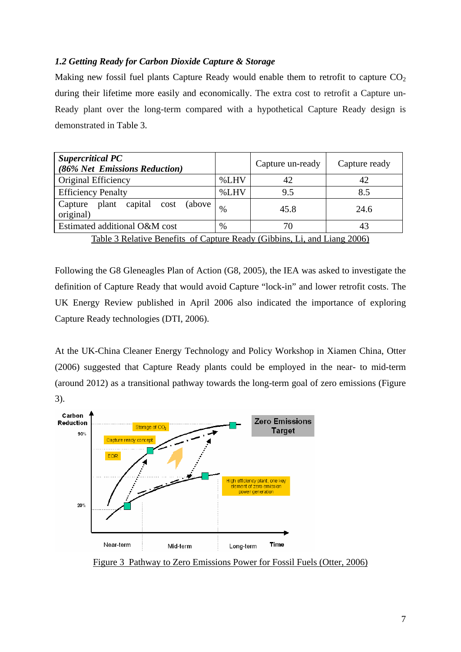# *1.2 Getting Ready for Carbon Dioxide Capture & Storage*

Making new fossil fuel plants Capture Ready would enable them to retrofit to capture  $CO<sub>2</sub>$ during their lifetime more easily and economically. The extra cost to retrofit a Capture un-Ready plant over the long-term compared with a hypothetical Capture Ready design is demonstrated in [Table](#page-7-0) 3.

| <b>Supercritical PC</b><br>(86% Net Emissions Reduction)                                                                                                                                                                                                                                                                |        | Capture un-ready                                       | Capture ready        |
|-------------------------------------------------------------------------------------------------------------------------------------------------------------------------------------------------------------------------------------------------------------------------------------------------------------------------|--------|--------------------------------------------------------|----------------------|
| Original Efficiency                                                                                                                                                                                                                                                                                                     | %LHV   | 42                                                     | 42                   |
| <b>Efficiency Penalty</b>                                                                                                                                                                                                                                                                                               | %LHV   | 9.5                                                    | 8.5                  |
| plant capital<br>Capture<br>cost (above<br>original)                                                                                                                                                                                                                                                                    | %      | 45.8                                                   | 24.6                 |
| Estimated additional O&M cost                                                                                                                                                                                                                                                                                           | %      | 70                                                     | 43                   |
| $\sim$ $\sim$ $\sim$<br>$\mathbf{m}$ is a $\mathbf{m}$ is $\mathbf{m}$ and $\mathbf{m}$ is $\mathbf{m}$ and $\mathbf{m}$ and $\mathbf{m}$ and $\mathbf{m}$ and $\mathbf{m}$ and $\mathbf{m}$ and $\mathbf{m}$ and $\mathbf{m}$ and $\mathbf{m}$ and $\mathbf{m}$ and $\mathbf{m}$ and $\mathbf{m}$ and $\mathbf{m}$ and | $\sim$ | $\sim$ $\sim$ $\sim$ $\sim$<br>$ -$<br>$\cdot$ $\cdot$ | $\sim$ $\sim$ $\sim$ |

Table 3 Relative Benefits of Capture Ready (Gibbins, Li, and Liang 2006)

<span id="page-7-0"></span>Following the G8 Gleneagles Plan of Action (G8, 2005), the IEA was asked to investigate the definition of Capture Ready that would avoid Capture "lock-in" and lower retrofit costs. The UK Energy Review published in April 2006 also indicated the importance of exploring Capture Ready technologies (DTI, 2006).

At the UK-China Cleaner Energy Technology and Policy Workshop in Xiamen China, Otter (2006) suggested that Capture Ready plants could be employed in the near- to mid-term (around 2012) as a transitional pathway towards the long-term goal of zero emissions (Figure 3).



Figure 3 Pathway to Zero Emissions Power for Fossil Fuels (Otter, 2006)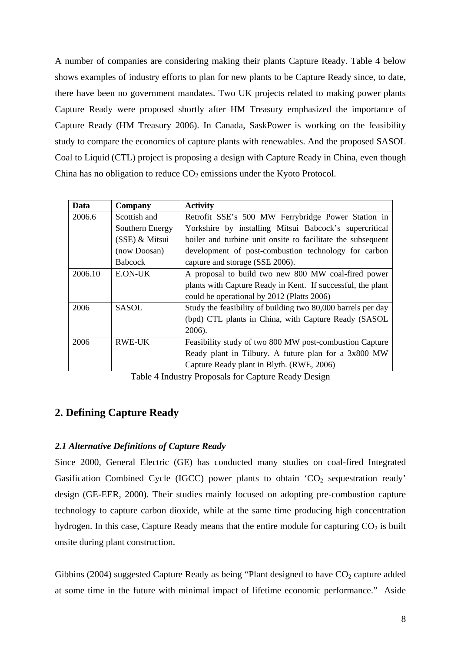A number of companies are considering making their plants Capture Ready. Table 4 below shows examples of industry efforts to plan for new plants to be Capture Ready since, to date, there have been no government mandates. Two UK projects related to making power plants Capture Ready were proposed shortly after HM Treasury emphasized the importance of Capture Ready (HM Treasury 2006). In Canada, SaskPower is working on the feasibility study to compare the economics of capture plants with renewables. And the proposed SASOL Coal to Liquid (CTL) project is proposing a design with Capture Ready in China, even though China has no obligation to reduce  $CO<sub>2</sub>$  emissions under the Kyoto Protocol.

| Company         | <b>Activity</b>                                              |
|-----------------|--------------------------------------------------------------|
| Scottish and    | Retrofit SSE's 500 MW Ferrybridge Power Station in           |
| Southern Energy | Yorkshire by installing Mitsui Babcock's supercritical       |
| (SSE) & Mitsui  | boiler and turbine unit onsite to facilitate the subsequent  |
| (now Doosan)    | development of post-combustion technology for carbon         |
| <b>Babcock</b>  | capture and storage (SSE 2006).                              |
| E.ON-UK         | A proposal to build two new 800 MW coal-fired power          |
|                 | plants with Capture Ready in Kent. If successful, the plant  |
|                 | could be operational by 2012 (Platts 2006)                   |
| <b>SASOL</b>    | Study the feasibility of building two 80,000 barrels per day |
|                 | (bpd) CTL plants in China, with Capture Ready (SASOL         |
|                 | 2006).                                                       |
| RWE-UK          | Feasibility study of two 800 MW post-combustion Capture      |
|                 | Ready plant in Tilbury. A future plan for a 3x800 MW         |
|                 | Capture Ready plant in Blyth. (RWE, 2006)                    |
|                 |                                                              |

Table 4 Industry Proposals for Capture Ready Design

# **2. Defining Capture Ready**

# *2.1 Alternative Definitions of Capture Ready*

Since 2000, General Electric (GE) has conducted many studies on coal-fired Integrated Gasification Combined Cycle (IGCC) power plants to obtain  $^{\circ}CO_{2}$  sequestration ready' design (GE-EER, 2000). Their studies mainly focused on adopting pre-combustion capture technology to capture carbon dioxide, while at the same time producing high concentration hydrogen. In this case, Capture Ready means that the entire module for capturing  $CO<sub>2</sub>$  is built onsite during plant construction.

Gibbins (2004) suggested Capture Ready as being "Plant designed to have  $CO<sub>2</sub>$  capture added at some time in the future with minimal impact of lifetime economic performance." Aside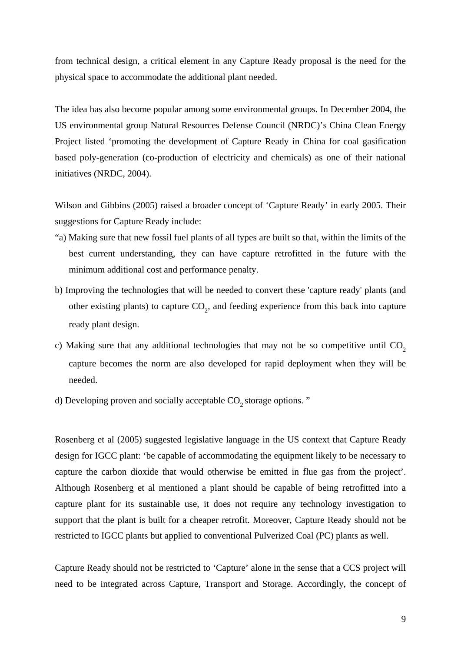from technical design, a critical element in any Capture Ready proposal is the need for the physical space to accommodate the additional plant needed.

The idea has also become popular among some environmental groups. In December 2004, the US environmental group Natural Resources Defense Council (NRDC)'s China Clean Energy Project listed 'promoting the development of Capture Ready in China for coal gasification based poly-generation (co-production of electricity and chemicals) as one of their national initiatives (NRDC, 2004).

Wilson and Gibbins (2005) raised a broader concept of 'Capture Ready' in early 2005. Their suggestions for Capture Ready include:

- "a) Making sure that new fossil fuel plants of all types are built so that, within the limits of the best current understanding, they can have capture retrofitted in the future with the minimum additional cost and performance penalty.
- b) Improving the technologies that will be needed to convert these 'capture ready' plants (and other existing plants) to capture  $CO<sub>2</sub>$ , and feeding experience from this back into capture ready plant design.
- c) Making sure that any additional technologies that may not be so competitive until  $CO<sub>2</sub>$ capture becomes the norm are also developed for rapid deployment when they will be needed.
- d) Developing proven and socially acceptable  $CO<sub>2</sub>$  storage options. "

Rosenberg et al (2005) suggested legislative language in the US context that Capture Ready design for IGCC plant: 'be capable of accommodating the equipment likely to be necessary to capture the carbon dioxide that would otherwise be emitted in flue gas from the project'. Although Rosenberg et al mentioned a plant should be capable of being retrofitted into a capture plant for its sustainable use, it does not require any technology investigation to support that the plant is built for a cheaper retrofit. Moreover, Capture Ready should not be restricted to IGCC plants but applied to conventional Pulverized Coal (PC) plants as well.

Capture Ready should not be restricted to 'Capture' alone in the sense that a CCS project will need to be integrated across Capture, Transport and Storage. Accordingly, the concept of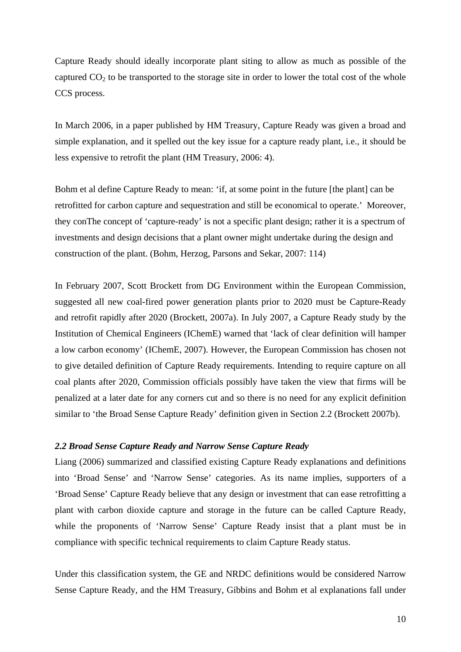Capture Ready should ideally incorporate plant siting to allow as much as possible of the captured  $CO<sub>2</sub>$  to be transported to the storage site in order to lower the total cost of the whole CCS process.

In March 2006, in a paper published by HM Treasury, Capture Ready was given a broad and simple explanation, and it spelled out the key issue for a capture ready plant, i.e., it should be less expensive to retrofit the plant (HM Treasury, 2006: 4).

Bohm et al define Capture Ready to mean: 'if, at some point in the future [the plant] can be retrofitted for carbon capture and sequestration and still be economical to operate.' Moreover, they conThe concept of 'capture-ready' is not a specific plant design; rather it is a spectrum of investments and design decisions that a plant owner might undertake during the design and construction of the plant. (Bohm, Herzog, Parsons and Sekar, 2007: 114)

In February 2007, Scott Brockett from DG Environment within the European Commission, suggested all new coal-fired power generation plants prior to 2020 must be Capture-Ready and retrofit rapidly after 2020 (Brockett, 2007a). In July 2007, a Capture Ready study by the Institution of Chemical Engineers (IChemE) warned that 'lack of clear definition will hamper a low carbon economy' (IChemE, 2007). However, the European Commission has chosen not to give detailed definition of Capture Ready requirements. Intending to require capture on all coal plants after 2020, Commission officials possibly have taken the view that firms will be penalized at a later date for any corners cut and so there is no need for any explicit definition similar to 'the Broad Sense Capture Ready' definition given in Section 2.2 (Brockett 2007b).

## *2.2 Broad Sense Capture Ready and Narrow Sense Capture Ready*

Liang (2006) summarized and classified existing Capture Ready explanations and definitions into 'Broad Sense' and 'Narrow Sense' categories. As its name implies, supporters of a 'Broad Sense' Capture Ready believe that any design or investment that can ease retrofitting a plant with carbon dioxide capture and storage in the future can be called Capture Ready, while the proponents of 'Narrow Sense' Capture Ready insist that a plant must be in compliance with specific technical requirements to claim Capture Ready status.

Under this classification system, the GE and NRDC definitions would be considered Narrow Sense Capture Ready, and the HM Treasury, Gibbins and Bohm et al explanations fall under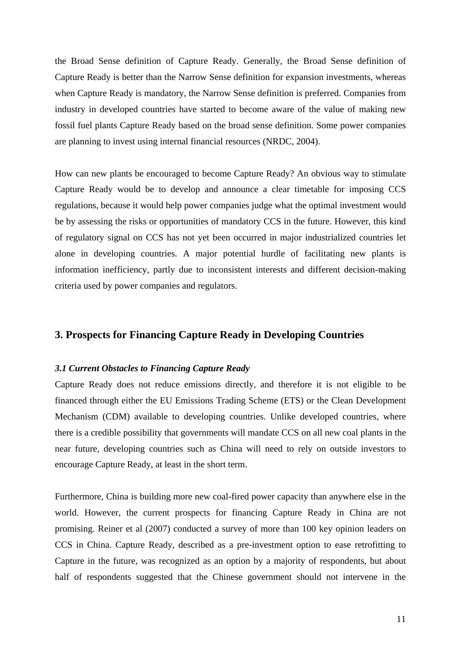the Broad Sense definition of Capture Ready. Generally, the Broad Sense definition of Capture Ready is better than the Narrow Sense definition for expansion investments, whereas when Capture Ready is mandatory, the Narrow Sense definition is preferred. Companies from industry in developed countries have started to become aware of the value of making new fossil fuel plants Capture Ready based on the broad sense definition. Some power companies are planning to invest using internal financial resources (NRDC, 2004).

How can new plants be encouraged to become Capture Ready? An obvious way to stimulate Capture Ready would be to develop and announce a clear timetable for imposing CCS regulations, because it would help power companies judge what the optimal investment would be by assessing the risks or opportunities of mandatory CCS in the future. However, this kind of regulatory signal on CCS has not yet been occurred in major industrialized countries let alone in developing countries. A major potential hurdle of facilitating new plants is information inefficiency, partly due to inconsistent interests and different decision-making criteria used by power companies and regulators.

# **3. Prospects for Financing Capture Ready in Developing Countries**

## *3.1 Current Obstacles to Financing Capture Ready*

Capture Ready does not reduce emissions directly, and therefore it is not eligible to be financed through either the EU Emissions Trading Scheme (ETS) or the Clean Development Mechanism (CDM) available to developing countries. Unlike developed countries, where there is a credible possibility that governments will mandate CCS on all new coal plants in the near future, developing countries such as China will need to rely on outside investors to encourage Capture Ready, at least in the short term.

Furthermore, China is building more new coal-fired power capacity than anywhere else in the world. However, the current prospects for financing Capture Ready in China are not promising. Reiner et al (2007) conducted a survey of more than 100 key opinion leaders on CCS in China. Capture Ready, described as a pre-investment option to ease retrofitting to Capture in the future, was recognized as an option by a majority of respondents, but about half of respondents suggested that the Chinese government should not intervene in the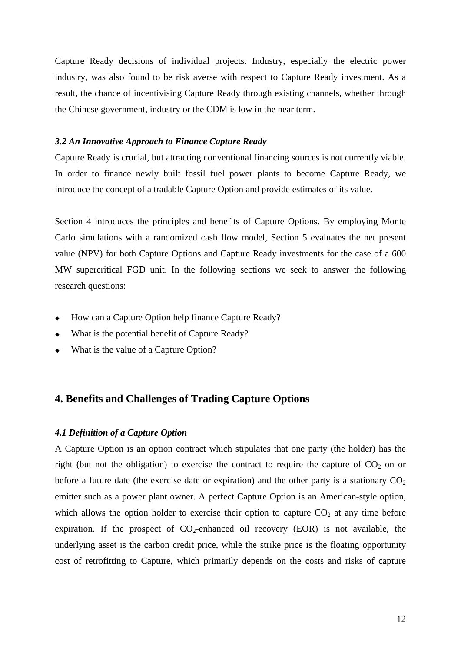Capture Ready decisions of individual projects. Industry, especially the electric power industry, was also found to be risk averse with respect to Capture Ready investment. As a result, the chance of incentivising Capture Ready through existing channels, whether through the Chinese government, industry or the CDM is low in the near term.

## *3.2 An Innovative Approach to Finance Capture Ready*

Capture Ready is crucial, but attracting conventional financing sources is not currently viable. In order to finance newly built fossil fuel power plants to become Capture Ready, we introduce the concept of a tradable Capture Option and provide estimates of its value.

Section 4 introduces the principles and benefits of Capture Options. By employing Monte Carlo simulations with a randomized cash flow model, Section 5 evaluates the net present value (NPV) for both Capture Options and Capture Ready investments for the case of a 600 MW supercritical FGD unit. In the following sections we seek to answer the following research questions:

- How can a Capture Option help finance Capture Ready?
- What is the potential benefit of Capture Ready?
- What is the value of a Capture Option?

# **4. Benefits and Challenges of Trading Capture Options**

#### *4.1 Definition of a Capture Option*

A Capture Option is an option contract which stipulates that one party (the holder) has the right (but not the obligation) to exercise the contract to require the capture of  $CO<sub>2</sub>$  on or before a future date (the exercise date or expiration) and the other party is a stationary  $CO<sub>2</sub>$ emitter such as a power plant owner. A perfect Capture Option is an American-style option, which allows the option holder to exercise their option to capture  $CO<sub>2</sub>$  at any time before expiration. If the prospect of  $CO_2$ -enhanced oil recovery (EOR) is not available, the underlying asset is the carbon credit price, while the strike price is the floating opportunity cost of retrofitting to Capture, which primarily depends on the costs and risks of capture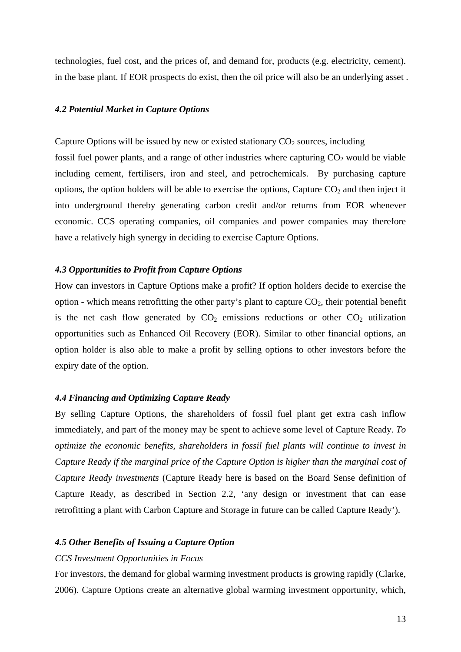technologies, fuel cost, and the prices of, and demand for, products (e.g. electricity, cement). in the base plant. If EOR prospects do exist, then the oil price will also be an underlying asset .

## *4.2 Potential Market in Capture Options*

Capture Options will be issued by new or existed stationary  $CO<sub>2</sub>$  sources, including fossil fuel power plants, and a range of other industries where capturing  $CO<sub>2</sub>$  would be viable including cement, fertilisers, iron and steel, and petrochemicals. By purchasing capture options, the option holders will be able to exercise the options, Capture  $CO<sub>2</sub>$  and then inject it into underground thereby generating carbon credit and/or returns from EOR whenever economic. CCS operating companies, oil companies and power companies may therefore have a relatively high synergy in deciding to exercise Capture Options.

#### *4.3 Opportunities to Profit from Capture Options*

How can investors in Capture Options make a profit? If option holders decide to exercise the option - which means retrofitting the other party's plant to capture  $CO<sub>2</sub>$ , their potential benefit is the net cash flow generated by  $CO<sub>2</sub>$  emissions reductions or other  $CO<sub>2</sub>$  utilization opportunities such as Enhanced Oil Recovery (EOR). Similar to other financial options, an option holder is also able to make a profit by selling options to other investors before the expiry date of the option.

## *4.4 Financing and Optimizing Capture Ready*

By selling Capture Options, the shareholders of fossil fuel plant get extra cash inflow immediately, and part of the money may be spent to achieve some level of Capture Ready. *To optimize the economic benefits, shareholders in fossil fuel plants will continue to invest in Capture Ready if the marginal price of the Capture Option is higher than the marginal cost of Capture Ready investments* (Capture Ready here is based on the Board Sense definition of Capture Ready, as described in Section 2.2, 'any design or investment that can ease retrofitting a plant with Carbon Capture and Storage in future can be called Capture Ready').

## *4.5 Other Benefits of Issuing a Capture Option*

#### *CCS Investment Opportunities in Focus*

For investors, the demand for global warming investment products is growing rapidly (Clarke, 2006). Capture Options create an alternative global warming investment opportunity, which,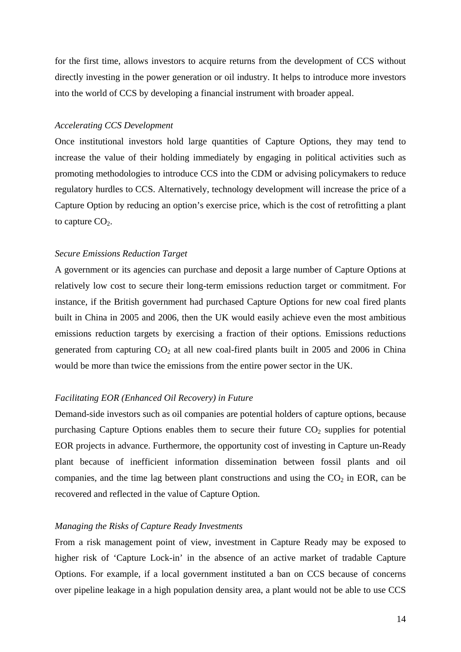for the first time, allows investors to acquire returns from the development of CCS without directly investing in the power generation or oil industry. It helps to introduce more investors into the world of CCS by developing a financial instrument with broader appeal.

## *Accelerating CCS Development*

Once institutional investors hold large quantities of Capture Options, they may tend to increase the value of their holding immediately by engaging in political activities such as promoting methodologies to introduce CCS into the CDM or advising policymakers to reduce regulatory hurdles to CCS. Alternatively, technology development will increase the price of a Capture Option by reducing an option's exercise price, which is the cost of retrofitting a plant to capture  $CO<sub>2</sub>$ .

#### *Secure Emissions Reduction Target*

A government or its agencies can purchase and deposit a large number of Capture Options at relatively low cost to secure their long-term emissions reduction target or commitment. For instance, if the British government had purchased Capture Options for new coal fired plants built in China in 2005 and 2006, then the UK would easily achieve even the most ambitious emissions reduction targets by exercising a fraction of their options. Emissions reductions generated from capturing  $CO<sub>2</sub>$  at all new coal-fired plants built in 2005 and 2006 in China would be more than twice the emissions from the entire power sector in the UK.

## *Facilitating EOR (Enhanced Oil Recovery) in Future*

Demand-side investors such as oil companies are potential holders of capture options, because purchasing Capture Options enables them to secure their future  $CO<sub>2</sub>$  supplies for potential EOR projects in advance. Furthermore, the opportunity cost of investing in Capture un-Ready plant because of inefficient information dissemination between fossil plants and oil companies, and the time lag between plant constructions and using the  $CO<sub>2</sub>$  in EOR, can be recovered and reflected in the value of Capture Option.

#### *Managing the Risks of Capture Ready Investments*

From a risk management point of view, investment in Capture Ready may be exposed to higher risk of 'Capture Lock-in' in the absence of an active market of tradable Capture Options. For example, if a local government instituted a ban on CCS because of concerns over pipeline leakage in a high population density area, a plant would not be able to use CCS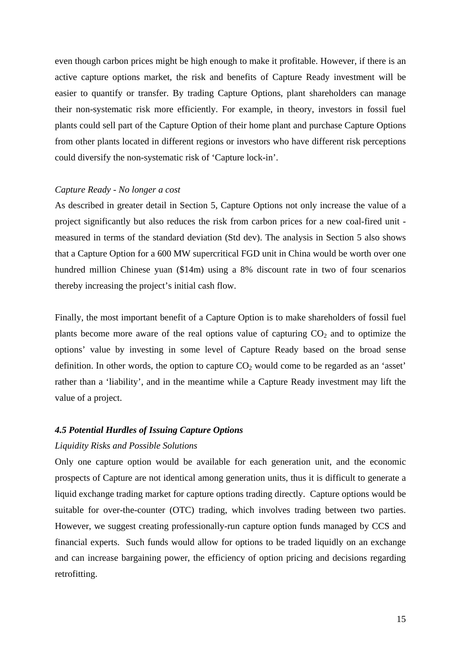even though carbon prices might be high enough to make it profitable. However, if there is an active capture options market, the risk and benefits of Capture Ready investment will be easier to quantify or transfer. By trading Capture Options, plant shareholders can manage their non-systematic risk more efficiently. For example, in theory, investors in fossil fuel plants could sell part of the Capture Option of their home plant and purchase Capture Options from other plants located in different regions or investors who have different risk perceptions could diversify the non-systematic risk of 'Capture lock-in'.

## *Capture Ready - No longer a cost*

As described in greater detail in Section 5, Capture Options not only increase the value of a project significantly but also reduces the risk from carbon prices for a new coal-fired unit measured in terms of the standard deviation (Std dev). The analysis in Section 5 also shows that a Capture Option for a 600 MW supercritical FGD unit in China would be worth over one hundred million Chinese yuan (\$14m) using a 8% discount rate in two of four scenarios thereby increasing the project's initial cash flow.

Finally, the most important benefit of a Capture Option is to make shareholders of fossil fuel plants become more aware of the real options value of capturing  $CO<sub>2</sub>$  and to optimize the options' value by investing in some level of Capture Ready based on the broad sense definition. In other words, the option to capture  $CO<sub>2</sub>$  would come to be regarded as an 'asset' rather than a 'liability', and in the meantime while a Capture Ready investment may lift the value of a project.

## *4.5 Potential Hurdles of Issuing Capture Options*

## *Liquidity Risks and Possible Solutions*

Only one capture option would be available for each generation unit, and the economic prospects of Capture are not identical among generation units, thus it is difficult to generate a liquid exchange trading market for capture options trading directly. Capture options would be suitable for over-the-counter (OTC) trading, which involves trading between two parties. However, we suggest creating professionally-run capture option funds managed by CCS and financial experts. Such funds would allow for options to be traded liquidly on an exchange and can increase bargaining power, the efficiency of option pricing and decisions regarding retrofitting.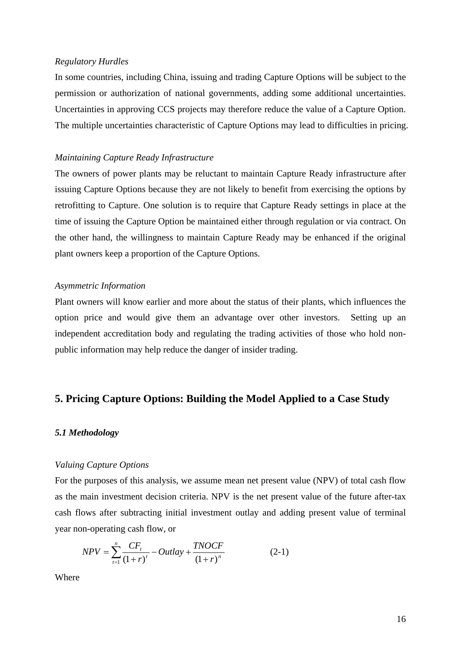## *Regulatory Hurdles*

In some countries, including China, issuing and trading Capture Options will be subject to the permission or authorization of national governments, adding some additional uncertainties. Uncertainties in approving CCS projects may therefore reduce the value of a Capture Option. The multiple uncertainties characteristic of Capture Options may lead to difficulties in pricing.

## *Maintaining Capture Ready Infrastructure*

The owners of power plants may be reluctant to maintain Capture Ready infrastructure after issuing Capture Options because they are not likely to benefit from exercising the options by retrofitting to Capture. One solution is to require that Capture Ready settings in place at the time of issuing the Capture Option be maintained either through regulation or via contract. On the other hand, the willingness to maintain Capture Ready may be enhanced if the original plant owners keep a proportion of the Capture Options.

#### *Asymmetric Information*

Plant owners will know earlier and more about the status of their plants, which influences the option price and would give them an advantage over other investors. Setting up an independent accreditation body and regulating the trading activities of those who hold nonpublic information may help reduce the danger of insider trading.

## **5. Pricing Capture Options: Building the Model Applied to a Case Study**

## *5.1 Methodology*

#### *Valuing Capture Options*

For the purposes of this analysis, we assume mean net present value (NPV) of total cash flow as the main investment decision criteria. NPV is the net present value of the future after-tax cash flows after subtracting initial investment outlay and adding present value of terminal year non-operating cash flow, or

$$
NPV = \sum_{t=1}^{n} \frac{CF_{t}}{(1+r)^{t}} - Outlay + \frac{TNOCF}{(1+r)^{n}}
$$
 (2-1)

Where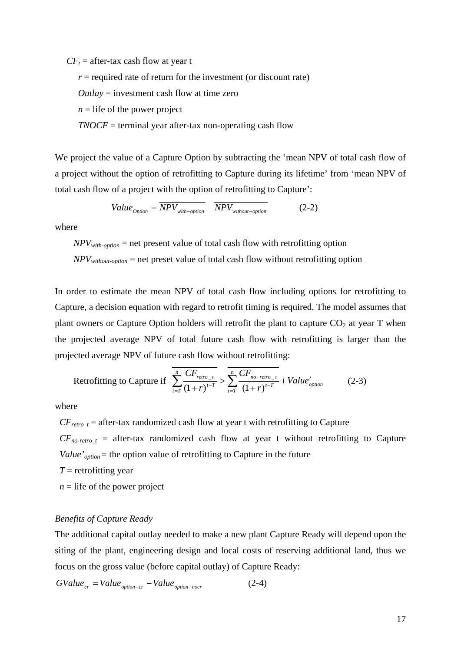$CF<sub>t</sub>$  = after-tax cash flow at year t

 $r =$  required rate of return for the investment (or discount rate)

*Outlay* = investment cash flow at time zero

 $n =$  life of the power project

*TNOCF* = terminal year after-tax non-operating cash flow

We project the value of a Capture Option by subtracting the 'mean NPV of total cash flow of a project without the option of retrofitting to Capture during its lifetime' from 'mean NPV of total cash flow of a project with the option of retrofitting to Capture':

$$
Value_{Option} = \overline{NPV_{with-option}} - \overline{NPV_{without-option}}
$$
 (2-2)

where

 $NPV_{with\text{-}option}$  = net present value of total cash flow with retrofitting option

*NPVwithout-option* = net preset value of total cash flow without retrofitting option

In order to estimate the mean NPV of total cash flow including options for retrofitting to Capture, a decision equation with regard to retrofit timing is required. The model assumes that plant owners or Capture Option holders will retrofit the plant to capture  $CO<sub>2</sub>$  at year T when the projected average NPV of total future cash flow with retrofitting is larger than the projected average NPV of future cash flow without retrofitting:

Returning to Capture if 
$$
\overline{\sum_{t=T}^{n} \frac{CF_{retro_{-t}}}{(1+r)^{t-T}}} > \overline{\sum_{t=T}^{n} \frac{CF_{no-retro_{-t}}}{(1+r)^{t-T}}} + Value'_{option}
$$
 (2-3)

where

 $CF_{retro_t}$  = after-tax randomized cash flow at year t with retrofitting to Capture  $CF_{no-retro\_t}$  = after-tax randomized cash flow at year t without retrofitting to Capture

*Value'*<sub>option</sub> = the option value of retrofitting to Capture in the future

- $T =$  retrofitting year
- $n =$  life of the power project

#### *Benefits of Capture Ready*

The additional capital outlay needed to make a new plant Capture Ready will depend upon the siting of the plant, engineering design and local costs of reserving additional land, thus we focus on the gross value (before capital outlay) of Capture Ready:

$$
GValue_{cr} = Value_{option-cr} - Value_{option-nocr}
$$
 (2-4)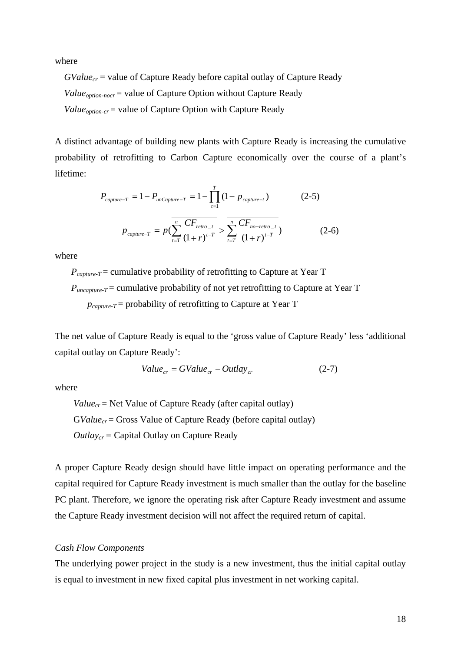where

 $GValue_{cr}$  = value of Capture Ready before capital outlay of Capture Ready *Value<sub>option-nocr* = value of Capture Option without Capture Ready</sub> *Value<sub>option-cr</sub>* = value of Capture Option with Capture Ready

A distinct advantage of building new plants with Capture Ready is increasing the cumulative probability of retrofitting to Carbon Capture economically over the course of a plant's lifetime:

$$
P_{capture-T} = 1 - P_{uncapture-T} = 1 - \prod_{t=1}^{T} (1 - p_{capture-t})
$$
(2-5)  

$$
p_{capture-T} = p(\sum_{t=T}^{n} \frac{CF_{retro_{-t}}}{(1+r)^{t-T}}) > \sum_{t=T}^{n} \frac{CF_{no-retro_{-t}}}{(1+r)^{t-T}})
$$
(2-6)

where

 *Pcapture-T* = cumulative probability of retrofitting to Capture at Year T  $P_{uncanture-T}$  = cumulative probability of not yet retrofitting to Capture at Year T *pcapture-T* = probability of retrofitting to Capture at Year T

The net value of Capture Ready is equal to the 'gross value of Capture Ready' less 'additional capital outlay on Capture Ready':

$$
Value_{cr} = GValue_{cr} - Outlay_{cr}
$$
 (2-7)

where

 $Value_{cr}$  = Net Value of Capture Ready (after capital outlay) GValue<sub>cr</sub> = Gross Value of Capture Ready (before capital outlay) *Outlaycr =* Capital Outlay on Capture Ready

A proper Capture Ready design should have little impact on operating performance and the capital required for Capture Ready investment is much smaller than the outlay for the baseline PC plant. Therefore, we ignore the operating risk after Capture Ready investment and assume the Capture Ready investment decision will not affect the required return of capital.

## *Cash Flow Components*

The underlying power project in the study is a new investment, thus the initial capital outlay is equal to investment in new fixed capital plus investment in net working capital.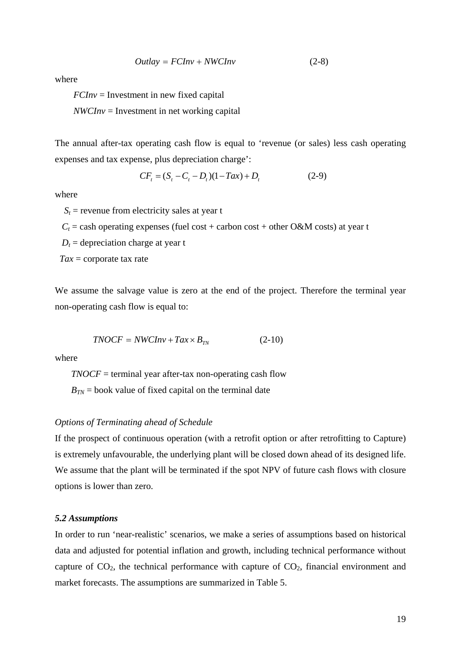$$
Outlay = FCInv + NWCInv \tag{2-8}
$$

where

*FCInv* = Investment in new fixed capital

*NWCInv* = Investment in net working capital

The annual after-tax operating cash flow is equal to 'revenue (or sales) less cash operating expenses and tax expense, plus depreciation charge':

$$
CFt = (St - Ct - Dt)(1 - Tax) + Dt
$$
 (2-9)

where

 $S_t$  = revenue from electricity sales at year t

 $C_t$  = cash operating expenses (fuel cost + carbon cost + other O&M costs) at year t

 $D_t$  = depreciation charge at year t

*Tax* = corporate tax rate

We assume the salvage value is zero at the end of the project. Therefore the terminal year non-operating cash flow is equal to:

$$
TNOCF = NWCInv + Tax \times B_{TN}
$$
 (2-10)

where

*TNOCF* = terminal year after-tax non-operating cash flow  $B_{TN}$  = book value of fixed capital on the terminal date

## *Options of Terminating ahead of Schedule*

If the prospect of continuous operation (with a retrofit option or after retrofitting to Capture) is extremely unfavourable, the underlying plant will be closed down ahead of its designed life. We assume that the plant will be terminated if the spot NPV of future cash flows with closure options is lower than zero.

## *5.2 Assumptions*

In order to run 'near-realistic' scenarios, we make a series of assumptions based on historical data and adjusted for potential inflation and growth, including technical performance without capture of  $CO<sub>2</sub>$ , the technical performance with capture of  $CO<sub>2</sub>$ , financial environment and market forecasts. The assumptions are summarized in Table 5.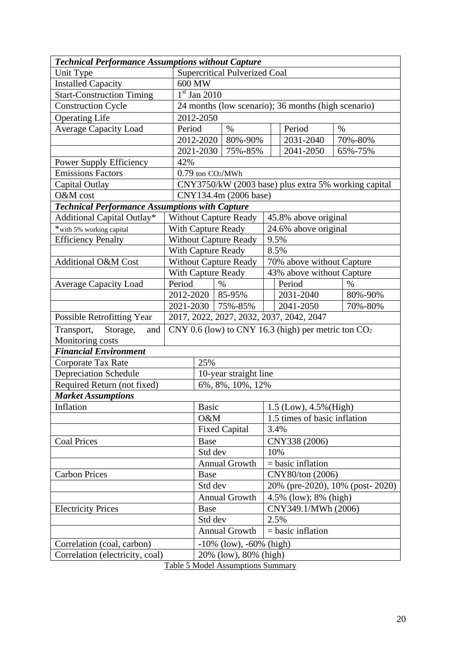| <b>Technical Performance Assumptions without Capture</b> |        |                                                      |                                                       |                              |                                                      |               |  |  |
|----------------------------------------------------------|--------|------------------------------------------------------|-------------------------------------------------------|------------------------------|------------------------------------------------------|---------------|--|--|
| Unit Type                                                |        |                                                      | <b>Supercritical Pulverized Coal</b>                  |                              |                                                      |               |  |  |
| <b>Installed Capacity</b>                                |        | 600 MW                                               |                                                       |                              |                                                      |               |  |  |
| <b>Start-Construction Timing</b>                         |        | $\overline{1}$ <sup>st</sup> Jan 2010                |                                                       |                              |                                                      |               |  |  |
| <b>Construction Cycle</b>                                |        |                                                      |                                                       |                              | 24 months (low scenario); 36 months (high scenario)  |               |  |  |
| <b>Operating Life</b>                                    |        | 2012-2050                                            |                                                       |                              |                                                      |               |  |  |
| <b>Average Capacity Load</b>                             | Period |                                                      | $\%$                                                  |                              | Period                                               | $\%$          |  |  |
|                                                          |        | 2012-2020                                            | 80%-90%                                               |                              | 2031-2040                                            | 70%-80%       |  |  |
|                                                          |        | 2021-2030                                            | 75%-85%                                               |                              | 2041-2050                                            | 65%-75%       |  |  |
| <b>Power Supply Efficiency</b>                           | 42%    |                                                      |                                                       |                              |                                                      |               |  |  |
| <b>Emissions Factors</b>                                 |        | $0.79$ ton $CO2/MWh$                                 |                                                       |                              |                                                      |               |  |  |
| Capital Outlay                                           |        |                                                      |                                                       |                              | CNY3750/kW (2003 base) plus extra 5% working capital |               |  |  |
| O&M cost                                                 |        |                                                      | CNY134.4m (2006 base)                                 |                              |                                                      |               |  |  |
| <b>Technical Performance Assumptions with Capture</b>    |        |                                                      |                                                       |                              |                                                      |               |  |  |
| <b>Additional Capital Outlay*</b>                        |        | <b>Without Capture Ready</b><br>45.8% above original |                                                       |                              |                                                      |               |  |  |
| *with 5% working capital                                 |        | <b>With Capture Ready</b>                            |                                                       |                              | 24.6% above original                                 |               |  |  |
| <b>Efficiency Penalty</b>                                |        |                                                      | <b>Without Capture Ready</b>                          | 9.5%                         |                                                      |               |  |  |
|                                                          |        |                                                      | <b>With Capture Ready</b>                             | 8.5%                         |                                                      |               |  |  |
| <b>Additional O&amp;M Cost</b>                           |        |                                                      | <b>Without Capture Ready</b>                          | 70% above without Capture    |                                                      |               |  |  |
|                                                          |        | With Capture Ready                                   |                                                       |                              | 43% above without Capture                            |               |  |  |
| <b>Average Capacity Load</b>                             | Period | $\%$                                                 |                                                       |                              | Period                                               | $\frac{0}{0}$ |  |  |
|                                                          |        | 2012-2020   85-95%                                   |                                                       |                              | 2031-2040                                            | 80%-90%       |  |  |
|                                                          |        | 2021-2030<br>75%-85%                                 |                                                       |                              | 2041-2050<br>70%-80%                                 |               |  |  |
| <b>Possible Retrofitting Year</b>                        |        |                                                      |                                                       |                              | 2017, 2022, 2027, 2032, 2037, 2042, 2047             |               |  |  |
| Storage,<br>Transport,<br>and                            |        |                                                      | CNY 0.6 (low) to CNY 16.3 (high) per metric ton $CO2$ |                              |                                                      |               |  |  |
| Monitoring costs                                         |        |                                                      |                                                       |                              |                                                      |               |  |  |
| <b>Financial Environment</b>                             |        |                                                      |                                                       |                              |                                                      |               |  |  |
| Corporate Tax Rate                                       |        | 25%                                                  |                                                       |                              |                                                      |               |  |  |
| <b>Depreciation Schedule</b>                             |        |                                                      | 10-year straight line                                 |                              |                                                      |               |  |  |
| Required Return (not fixed)                              |        |                                                      | 6%, 8%, 10%, 12%                                      |                              |                                                      |               |  |  |
| <b>Market Assumptions</b>                                |        |                                                      |                                                       |                              |                                                      |               |  |  |
| Inflation                                                |        | Basic                                                |                                                       | 1.5 (Low), 4.5% (High)       |                                                      |               |  |  |
|                                                          |        | O&M                                                  |                                                       | 1.5 times of basic inflation |                                                      |               |  |  |
|                                                          |        | <b>Fixed Capital</b>                                 |                                                       | 3.4%                         |                                                      |               |  |  |
| <b>Coal Prices</b>                                       |        | <b>Base</b>                                          |                                                       | CNY338 (2006)                |                                                      |               |  |  |
|                                                          |        | Std dev                                              |                                                       |                              | 10%                                                  |               |  |  |
|                                                          |        |                                                      | Annual Growth                                         |                              | $=$ basic inflation                                  |               |  |  |
| <b>Carbon Prices</b>                                     |        | <b>Base</b>                                          |                                                       | CNY80/ton (2006)             |                                                      |               |  |  |
|                                                          |        | Std dev                                              |                                                       |                              | 20% (pre-2020), 10% (post-2020)                      |               |  |  |
|                                                          |        |                                                      | <b>Annual Growth</b>                                  | 4.5% (low); 8% (high)        |                                                      |               |  |  |
| <b>Electricity Prices</b>                                |        | Base                                                 |                                                       |                              | CNY349.1/MWh (2006)                                  |               |  |  |
|                                                          |        | Std dev                                              |                                                       | 2.5%                         |                                                      |               |  |  |
|                                                          |        |                                                      | <b>Annual Growth</b>                                  | $=$ basic inflation          |                                                      |               |  |  |
| Correlation (coal, carbon)                               |        |                                                      | $-10\%$ (low), $-60\%$ (high)                         |                              |                                                      |               |  |  |
| Correlation (electricity, coal)                          |        |                                                      | 20% (low), 80% (high)                                 |                              |                                                      |               |  |  |
|                                                          |        |                                                      |                                                       |                              |                                                      |               |  |  |

Table 5 Model Assumptions Summary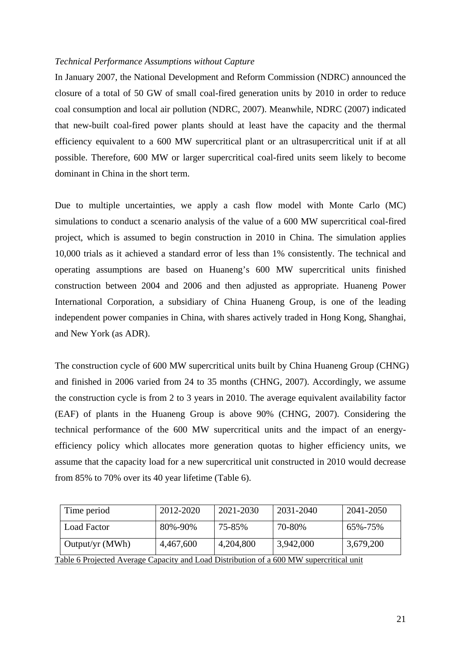## *Technical Performance Assumptions without Capture*

In January 2007, the National Development and Reform Commission (NDRC) announced the closure of a total of 50 GW of small coal-fired generation units by 2010 in order to reduce coal consumption and local air pollution (NDRC, 2007). Meanwhile, NDRC (2007) indicated that new-built coal-fired power plants should at least have the capacity and the thermal efficiency equivalent to a 600 MW supercritical plant or an ultrasupercritical unit if at all possible. Therefore, 600 MW or larger supercritical coal-fired units seem likely to become dominant in China in the short term.

Due to multiple uncertainties, we apply a cash flow model with Monte Carlo (MC) simulations to conduct a scenario analysis of the value of a 600 MW supercritical coal-fired project, which is assumed to begin construction in 2010 in China. The simulation applies 10,000 trials as it achieved a standard error of less than 1% consistently. The technical and operating assumptions are based on Huaneng's 600 MW supercritical units finished construction between 2004 and 2006 and then adjusted as appropriate. Huaneng Power International Corporation, a subsidiary of China Huaneng Group, is one of the leading independent power companies in China, with shares actively traded in Hong Kong, Shanghai, and New York (as ADR).

The construction cycle of 600 MW supercritical units built by China Huaneng Group (CHNG) and finished in 2006 varied from 24 to 35 months (CHNG, 2007). Accordingly, we assume the construction cycle is from 2 to 3 years in 2010. The average equivalent availability factor (EAF) of plants in the Huaneng Group is above 90% (CHNG, 2007). Considering the technical performance of the 600 MW supercritical units and the impact of an energyefficiency policy which allocates more generation quotas to higher efficiency units, we assume that the capacity load for a new supercritical unit constructed in 2010 would decrease from 85% to 70% over its 40 year lifetime (Table 6).

| Time period                                                                             | 2012-2020 | 2021-2030 | 2031-2040 | 2041-2050 |  |  |  |
|-----------------------------------------------------------------------------------------|-----------|-----------|-----------|-----------|--|--|--|
| Load Factor                                                                             | 80%-90%   | 75-85%    | 70-80%    | 65%-75%   |  |  |  |
| Output/yr (MWh)                                                                         | 4,467,600 | 4,204,800 | 3,942,000 | 3,679,200 |  |  |  |
| Table 6 Projected Average Capacity and Load Distribution of a 600 MW supercritical unit |           |           |           |           |  |  |  |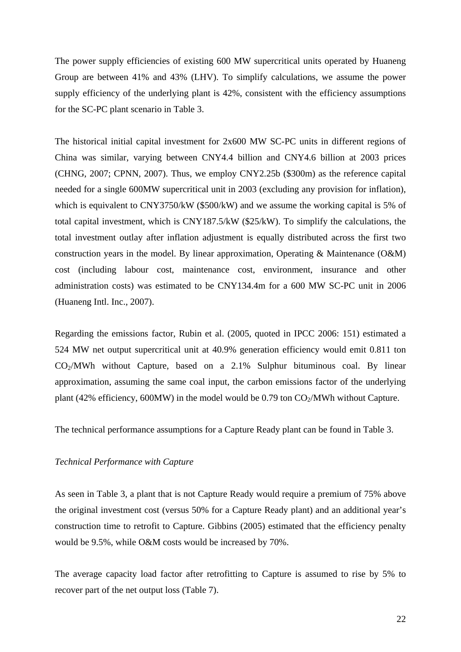The power supply efficiencies of existing 600 MW supercritical units operated by Huaneng Group are between 41% and 43% (LHV). To simplify calculations, we assume the power supply efficiency of the underlying plant is 42%, consistent with the efficiency assumptions for the SC-PC plant scenario in Table 3.

The historical initial capital investment for 2x600 MW SC-PC units in different regions of China was similar, varying between CNY4.4 billion and CNY4.6 billion at 2003 prices (CHNG, 2007; CPNN, 2007). Thus, we employ CNY2.25b (\$300m) as the reference capital needed for a single 600MW supercritical unit in 2003 (excluding any provision for inflation), which is equivalent to CNY3750/kW (\$500/kW) and we assume the working capital is 5% of total capital investment, which is CNY187.5/kW (\$25/kW). To simplify the calculations, the total investment outlay after inflation adjustment is equally distributed across the first two construction years in the model. By linear approximation, Operating & Maintenance (O&M) cost (including labour cost, maintenance cost, environment, insurance and other administration costs) was estimated to be CNY134.4m for a 600 MW SC-PC unit in 2006 (Huaneng Intl. Inc., 2007).

Regarding the emissions factor, Rubin et al. (2005, quoted in IPCC 2006: 151) estimated a 524 MW net output supercritical unit at 40.9% generation efficiency would emit 0.811 ton  $CO<sub>2</sub>/MWh$  without Capture, based on a 2.1% Sulphur bituminous coal. By linear approximation, assuming the same coal input, the carbon emissions factor of the underlying plant (42% efficiency, 600MW) in the model would be 0.79 ton  $CO<sub>2</sub>/MWh$  without Capture.

The technical performance assumptions for a Capture Ready plant can be found in Table 3.

## *Technical Performance with Capture*

As seen in Table 3, a plant that is not Capture Ready would require a premium of 75% above the original investment cost (versus 50% for a Capture Ready plant) and an additional year's construction time to retrofit to Capture. Gibbins (2005) estimated that the efficiency penalty would be 9.5%, while O&M costs would be increased by 70%.

The average capacity load factor after retrofitting to Capture is assumed to rise by 5% to recover part of the net output loss (Table 7).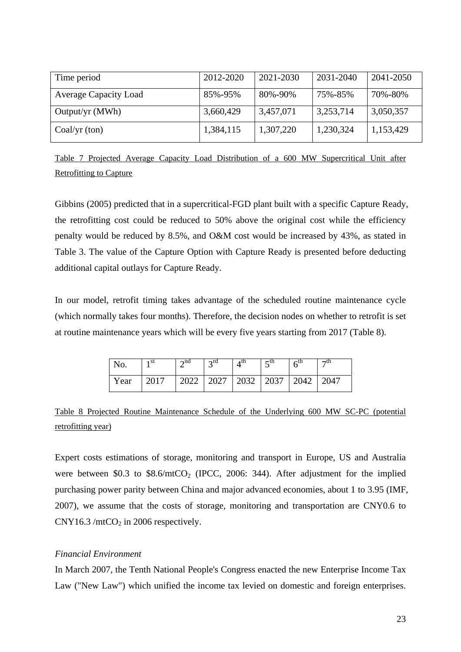| Time period                  | 2012-2020 | 2021-2030 | 2031-2040 | 2041-2050 |
|------------------------------|-----------|-----------|-----------|-----------|
| <b>Average Capacity Load</b> | 85%-95%   | 80%-90%   | 75%-85%   | 70%-80%   |
| Output/yr $(MWh)$            | 3,660,429 | 3,457,071 | 3,253,714 | 3,050,357 |
| Coal/yr $ton)$               | 1,384,115 | 1,307,220 | 1,230,324 | 1,153,429 |

Table 7 Projected Average Capacity Load Distribution of a 600 MW Supercritical Unit after Retrofitting to Capture

Gibbins (2005) predicted that in a supercritical-FGD plant built with a specific Capture Ready, the retrofitting cost could be reduced to 50% above the original cost while the efficiency penalty would be reduced by 8.5%, and O&M cost would be increased by 43%, as stated in Table 3. The value of the Capture Option with Capture Ready is presented before deducting additional capital outlays for Capture Ready.

In our model, retrofit timing takes advantage of the scheduled routine maintenance cycle (which normally takes four months). Therefore, the decision nodes on whether to retrofit is set at routine maintenance years which will be every five years starting from 2017 (Table 8).

| No.  | 1 St | $\lambda$ nd | 2rd | 4 th                                    | $\epsilon$ tn<br>ັ | 6 <sup>th</sup> | $\neg$ th |
|------|------|--------------|-----|-----------------------------------------|--------------------|-----------------|-----------|
| Year | 2017 |              |     | 2022   2027   2032   2037   2042   2047 |                    |                 |           |

Table 8 Projected Routine Maintenance Schedule of the Underlying 600 MW SC-PC (potential retrofitting year)

Expert costs estimations of storage, monitoring and transport in Europe, US and Australia were between \$0.3 to  $$8.6/mtCO<sub>2</sub>$  (IPCC, 2006: 344). After adjustment for the implied purchasing power parity between China and major advanced economies, about 1 to 3.95 (IMF, 2007), we assume that the costs of storage, monitoring and transportation are CNY0.6 to  $CNY16.3/mtCO<sub>2</sub>$  in 2006 respectively.

## *Financial Environment*

In March 2007, the Tenth National People's Congress enacted the new Enterprise Income Tax Law ("New Law") which unified the income tax levied on domestic and foreign enterprises.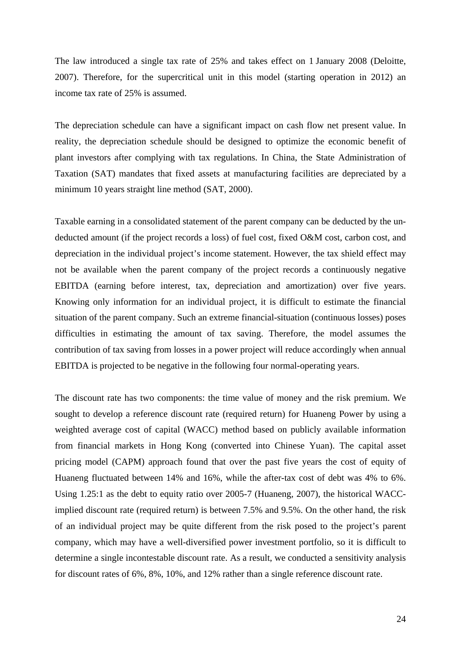The law introduced a single tax rate of 25% and takes effect on 1 January 2008 (Deloitte, 2007). Therefore, for the supercritical unit in this model (starting operation in 2012) an income tax rate of 25% is assumed.

The depreciation schedule can have a significant impact on cash flow net present value. In reality, the depreciation schedule should be designed to optimize the economic benefit of plant investors after complying with tax regulations. In China, the State Administration of Taxation (SAT) mandates that fixed assets at manufacturing facilities are depreciated by a minimum 10 years straight line method (SAT, 2000).

Taxable earning in a consolidated statement of the parent company can be deducted by the undeducted amount (if the project records a loss) of fuel cost, fixed O&M cost, carbon cost, and depreciation in the individual project's income statement. However, the tax shield effect may not be available when the parent company of the project records a continuously negative EBITDA (earning before interest, tax, depreciation and amortization) over five years. Knowing only information for an individual project, it is difficult to estimate the financial situation of the parent company. Such an extreme financial-situation (continuous losses) poses difficulties in estimating the amount of tax saving. Therefore, the model assumes the contribution of tax saving from losses in a power project will reduce accordingly when annual EBITDA is projected to be negative in the following four normal-operating years.

The discount rate has two components: the time value of money and the risk premium. We sought to develop a reference discount rate (required return) for Huaneng Power by using a weighted average cost of capital (WACC) method based on publicly available information from financial markets in Hong Kong (converted into Chinese Yuan). The capital asset pricing model (CAPM) approach found that over the past five years the cost of equity of Huaneng fluctuated between 14% and 16%, while the after-tax cost of debt was 4% to 6%. Using 1.25:1 as the debt to equity ratio over 2005-7 (Huaneng, 2007), the historical WACCimplied discount rate (required return) is between 7.5% and 9.5%. On the other hand, the risk of an individual project may be quite different from the risk posed to the project's parent company, which may have a well-diversified power investment portfolio, so it is difficult to determine a single incontestable discount rate. As a result, we conducted a sensitivity analysis for discount rates of 6%, 8%, 10%, and 12% rather than a single reference discount rate.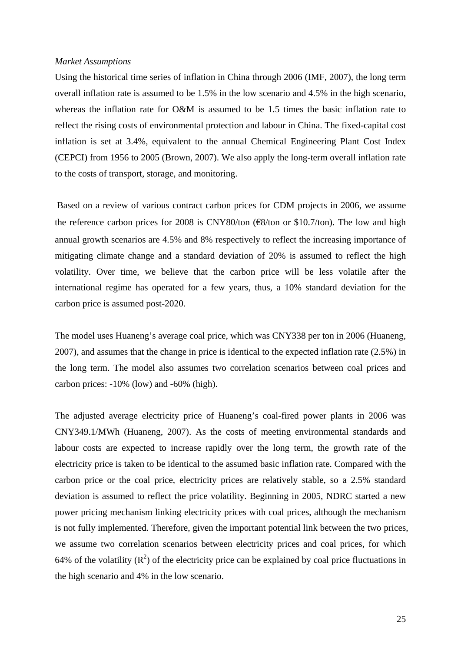#### *Market Assumptions*

Using the historical time series of inflation in China through 2006 (IMF, 2007), the long term overall inflation rate is assumed to be 1.5% in the low scenario and 4.5% in the high scenario, whereas the inflation rate for O&M is assumed to be 1.5 times the basic inflation rate to reflect the rising costs of environmental protection and labour in China. The fixed-capital cost inflation is set at 3.4%, equivalent to the annual Chemical Engineering Plant Cost Index (CEPCI) from 1956 to 2005 (Brown, 2007). We also apply the long-term overall inflation rate to the costs of transport, storage, and monitoring.

 Based on a review of various contract carbon prices for CDM projects in 2006, we assume the reference carbon prices for 2008 is CNY80/ton ( $\epsilon$ 8/ton or \$10.7/ton). The low and high annual growth scenarios are 4.5% and 8% respectively to reflect the increasing importance of mitigating climate change and a standard deviation of 20% is assumed to reflect the high volatility. Over time, we believe that the carbon price will be less volatile after the international regime has operated for a few years, thus, a 10% standard deviation for the carbon price is assumed post-2020.

The model uses Huaneng's average coal price, which was CNY338 per ton in 2006 (Huaneng, 2007), and assumes that the change in price is identical to the expected inflation rate (2.5%) in the long term. The model also assumes two correlation scenarios between coal prices and carbon prices: -10% (low) and -60% (high).

The adjusted average electricity price of Huaneng's coal-fired power plants in 2006 was CNY349.1/MWh (Huaneng, 2007). As the costs of meeting environmental standards and labour costs are expected to increase rapidly over the long term, the growth rate of the electricity price is taken to be identical to the assumed basic inflation rate. Compared with the carbon price or the coal price, electricity prices are relatively stable, so a 2.5% standard deviation is assumed to reflect the price volatility. Beginning in 2005, NDRC started a new power pricing mechanism linking electricity prices with coal prices, although the mechanism is not fully implemented. Therefore, given the important potential link between the two prices, we assume two correlation scenarios between electricity prices and coal prices, for which 64% of the volatility  $(R^2)$  of the electricity price can be explained by coal price fluctuations in the high scenario and 4% in the low scenario.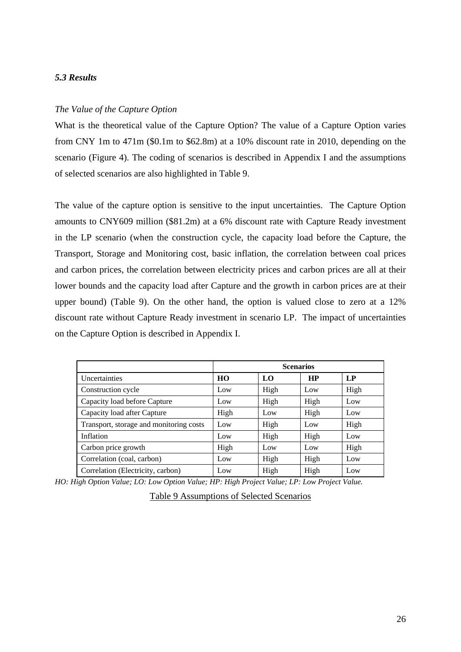## *5.3 Results*

## *The Value of the Capture Option*

What is the theoretical value of the Capture Option? The value of a Capture Option varies from CNY 1m to 471m (\$0.1m to \$62.8m) at a 10% discount rate in 2010, depending on the scenario (Figure 4). The coding of scenarios is described in Appendix I and the assumptions of selected scenarios are also highlighted in Table 9.

The value of the capture option is sensitive to the input uncertainties. The Capture Option amounts to CNY609 million (\$81.2m) at a 6% discount rate with Capture Ready investment in the LP scenario (when the construction cycle, the capacity load before the Capture, the Transport, Storage and Monitoring cost, basic inflation, the correlation between coal prices and carbon prices, the correlation between electricity prices and carbon prices are all at their lower bounds and the capacity load after Capture and the growth in carbon prices are at their upper bound) (Table 9). On the other hand, the option is valued close to zero at a 12% discount rate without Capture Ready investment in scenario LP. The impact of uncertainties on the Capture Option is described in Appendix I.

|                                         | <b>Scenarios</b> |      |           |      |  |  |
|-----------------------------------------|------------------|------|-----------|------|--|--|
| Uncertainties                           | HO               | LO.  | <b>HP</b> | LP   |  |  |
| Construction cycle                      | Low              | High | Low       | High |  |  |
| Capacity load before Capture            | Low              | High | High      | Low  |  |  |
| Capacity load after Capture             | High             | Low  | High      | Low  |  |  |
| Transport, storage and monitoring costs | Low              | High | Low       | High |  |  |
| Inflation                               | Low              | High | High      | Low  |  |  |
| Carbon price growth                     | High             | Low  | Low       | High |  |  |
| Correlation (coal, carbon)              | Low              | High | High      | Low  |  |  |
| Correlation (Electricity, carbon)       | Low              | High | High      | Low  |  |  |

*HO: High Option Value; LO: Low Option Value; HP: High Project Value; LP: Low Project Value.* 

| <b>Table 9 Assumptions of Selected Scenarios</b> |
|--------------------------------------------------|
|--------------------------------------------------|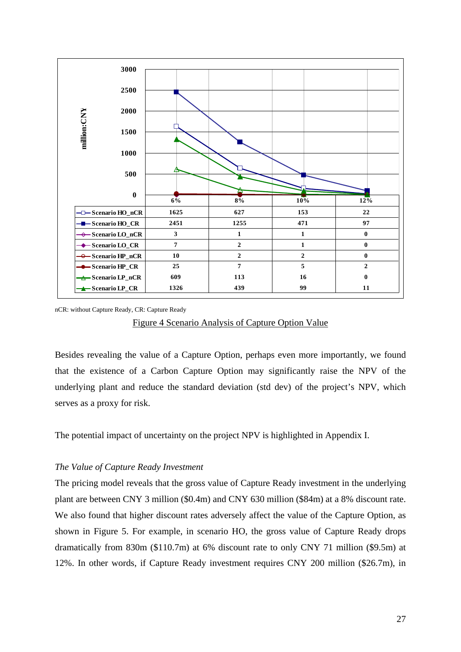

nCR: without Capture Ready, CR: Capture Ready

Figure 4 Scenario Analysis of Capture Option Value

Besides revealing the value of a Capture Option, perhaps even more importantly, we found that the existence of a Carbon Capture Option may significantly raise the NPV of the underlying plant and reduce the standard deviation (std dev) of the project's NPV, which serves as a proxy for risk.

The potential impact of uncertainty on the project NPV is highlighted in Appendix I.

## *The Value of Capture Ready Investment*

The pricing model reveals that the gross value of Capture Ready investment in the underlying plant are between CNY 3 million (\$0.4m) and CNY 630 million (\$84m) at a 8% discount rate. We also found that higher discount rates adversely affect the value of the Capture Option, as shown in Figure 5. For example, in scenario HO, the gross value of Capture Ready drops dramatically from 830m (\$110.7m) at 6% discount rate to only CNY 71 million (\$9.5m) at 12%. In other words, if Capture Ready investment requires CNY 200 million (\$26.7m), in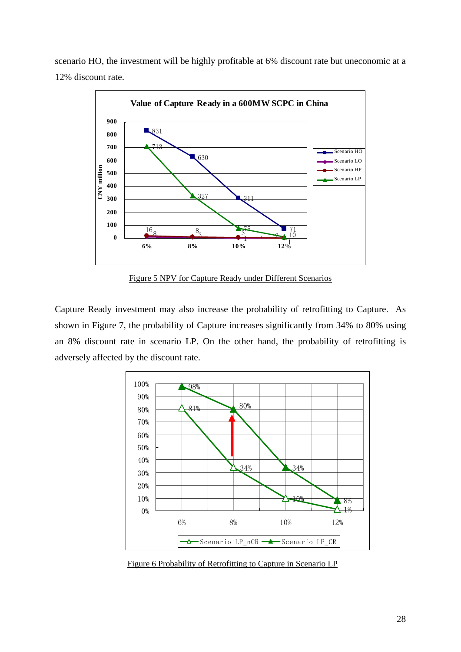scenario HO, the investment will be highly profitable at 6% discount rate but uneconomic at a 12% discount rate.



Figure 5 NPV for Capture Ready under Different Scenarios

Capture Ready investment may also increase the probability of retrofitting to Capture. As shown in Figure 7, the probability of Capture increases significantly from 34% to 80% using an 8% discount rate in scenario LP. On the other hand, the probability of retrofitting is adversely affected by the discount rate.



Figure 6 Probability of Retrofitting to Capture in Scenario LP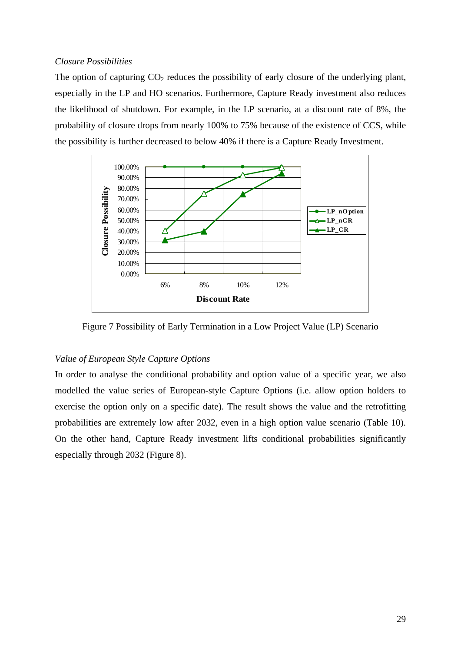## *Closure Possibilities*

The option of capturing  $CO<sub>2</sub>$  reduces the possibility of early closure of the underlying plant, especially in the LP and HO scenarios. Furthermore, Capture Ready investment also reduces the likelihood of shutdown. For example, in the LP scenario, at a discount rate of 8%, the probability of closure drops from nearly 100% to 75% because of the existence of CCS, while the possibility is further decreased to below 40% if there is a Capture Ready Investment.



Figure 7 Possibility of Early Termination in a Low Project Value (LP) Scenario

## *Value of European Style Capture Options*

In order to analyse the conditional probability and option value of a specific year, we also modelled the value series of European-style Capture Options (i.e. allow option holders to exercise the option only on a specific date). The result shows the value and the retrofitting probabilities are extremely low after 2032, even in a high option value scenario (Table 10). On the other hand, Capture Ready investment lifts conditional probabilities significantly especially through 2032 (Figure 8).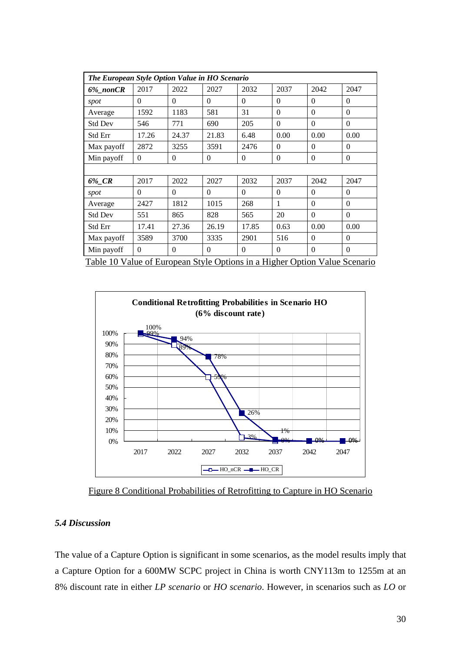| The European Style Option Value in HO Scenario                             |          |          |          |          |          |          |          |
|----------------------------------------------------------------------------|----------|----------|----------|----------|----------|----------|----------|
| 6%_nonCR                                                                   | 2017     | 2022     | 2027     | 2032     | 2037     | 2042     | 2047     |
| spot                                                                       | $\theta$ | 0        | $\Omega$ | $\Omega$ | $\Omega$ | $\Omega$ | $\Omega$ |
| Average                                                                    | 1592     | 1183     | 581      | 31       | $\theta$ | $\theta$ | $\Omega$ |
| Std Dev                                                                    | 546      | 771      | 690      | 205      | $\Omega$ | $\theta$ | $\Omega$ |
| <b>Std Err</b>                                                             | 17.26    | 24.37    | 21.83    | 6.48     | 0.00     | 0.00     | 0.00     |
| Max payoff                                                                 | 2872     | 3255     | 3591     | 2476     | $\Omega$ | $\Omega$ | $\Omega$ |
| Min payoff                                                                 | $\theta$ | $\theta$ | $\Omega$ | $\theta$ | $\theta$ | $\theta$ | $\Omega$ |
|                                                                            |          |          |          |          |          |          |          |
| 6%_CR                                                                      | 2017     | 2022     | 2027     | 2032     | 2037     | 2042     | 2047     |
| spot                                                                       | $\Omega$ | $\Omega$ | $\Omega$ | $\Omega$ | $\theta$ | $\Omega$ | $\Omega$ |
| Average                                                                    | 2427     | 1812     | 1015     | 268      | 1        | $\theta$ | $\Omega$ |
| <b>Std Dev</b>                                                             | 551      | 865      | 828      | 565      | 20       | $\theta$ | $\Omega$ |
| Std Err                                                                    | 17.41    | 27.36    | 26.19    | 17.85    | 0.63     | 0.00     | 0.00     |
| Max payoff                                                                 | 3589     | 3700     | 3335     | 2901     | 516      | $\Omega$ | $\Omega$ |
| Min payoff                                                                 | $\theta$ | $\Omega$ | $\Omega$ | $\Omega$ | $\Omega$ | $\theta$ | $\Omega$ |
| Table 10 Value of European Style Options in a Higher Option Value Scenario |          |          |          |          |          |          |          |



Figure 8 Conditional Probabilities of Retrofitting to Capture in HO Scenario

## *5.4 Discussion*

The value of a Capture Option is significant in some scenarios, as the model results imply that a Capture Option for a 600MW SCPC project in China is worth CNY113m to 1255m at an 8% discount rate in either *LP scenario* or *HO scenario*. However, in scenarios such as *LO* or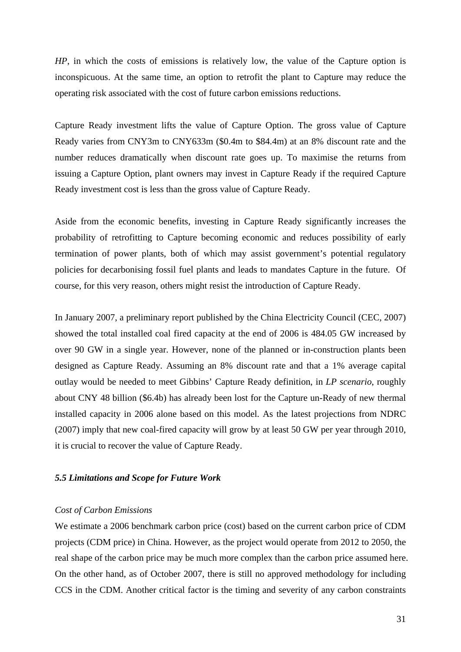*HP*, in which the costs of emissions is relatively low, the value of the Capture option is inconspicuous. At the same time, an option to retrofit the plant to Capture may reduce the operating risk associated with the cost of future carbon emissions reductions.

Capture Ready investment lifts the value of Capture Option. The gross value of Capture Ready varies from CNY3m to CNY633m (\$0.4m to \$84.4m) at an 8% discount rate and the number reduces dramatically when discount rate goes up. To maximise the returns from issuing a Capture Option, plant owners may invest in Capture Ready if the required Capture Ready investment cost is less than the gross value of Capture Ready.

Aside from the economic benefits, investing in Capture Ready significantly increases the probability of retrofitting to Capture becoming economic and reduces possibility of early termination of power plants, both of which may assist government's potential regulatory policies for decarbonising fossil fuel plants and leads to mandates Capture in the future. Of course, for this very reason, others might resist the introduction of Capture Ready.

In January 2007, a preliminary report published by the China Electricity Council (CEC, 2007) showed the total installed coal fired capacity at the end of 2006 is 484.05 GW increased by over 90 GW in a single year. However, none of the planned or in-construction plants been designed as Capture Ready. Assuming an 8% discount rate and that a 1% average capital outlay would be needed to meet Gibbins' Capture Ready definition, in *LP scenario*, roughly about CNY 48 billion (\$6.4b) has already been lost for the Capture un-Ready of new thermal installed capacity in 2006 alone based on this model. As the latest projections from NDRC (2007) imply that new coal-fired capacity will grow by at least 50 GW per year through 2010, it is crucial to recover the value of Capture Ready.

## *5.5 Limitations and Scope for Future Work*

## *Cost of Carbon Emissions*

We estimate a 2006 benchmark carbon price (cost) based on the current carbon price of CDM projects (CDM price) in China. However, as the project would operate from 2012 to 2050, the real shape of the carbon price may be much more complex than the carbon price assumed here. On the other hand, as of October 2007, there is still no approved methodology for including CCS in the CDM. Another critical factor is the timing and severity of any carbon constraints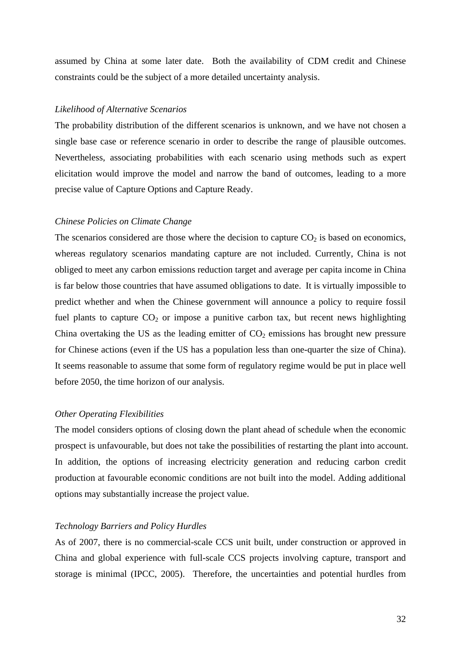assumed by China at some later date. Both the availability of CDM credit and Chinese constraints could be the subject of a more detailed uncertainty analysis.

## *Likelihood of Alternative Scenarios*

The probability distribution of the different scenarios is unknown, and we have not chosen a single base case or reference scenario in order to describe the range of plausible outcomes. Nevertheless, associating probabilities with each scenario using methods such as expert elicitation would improve the model and narrow the band of outcomes, leading to a more precise value of Capture Options and Capture Ready.

#### *Chinese Policies on Climate Change*

The scenarios considered are those where the decision to capture  $CO<sub>2</sub>$  is based on economics, whereas regulatory scenarios mandating capture are not included. Currently, China is not obliged to meet any carbon emissions reduction target and average per capita income in China is far below those countries that have assumed obligations to date. It is virtually impossible to predict whether and when the Chinese government will announce a policy to require fossil fuel plants to capture  $CO<sub>2</sub>$  or impose a punitive carbon tax, but recent news highlighting China overtaking the US as the leading emitter of  $CO<sub>2</sub>$  emissions has brought new pressure for Chinese actions (even if the US has a population less than one-quarter the size of China). It seems reasonable to assume that some form of regulatory regime would be put in place well before 2050, the time horizon of our analysis.

#### *Other Operating Flexibilities*

The model considers options of closing down the plant ahead of schedule when the economic prospect is unfavourable, but does not take the possibilities of restarting the plant into account. In addition, the options of increasing electricity generation and reducing carbon credit production at favourable economic conditions are not built into the model. Adding additional options may substantially increase the project value.

### *Technology Barriers and Policy Hurdles*

As of 2007, there is no commercial-scale CCS unit built, under construction or approved in China and global experience with full-scale CCS projects involving capture, transport and storage is minimal (IPCC, 2005). Therefore, the uncertainties and potential hurdles from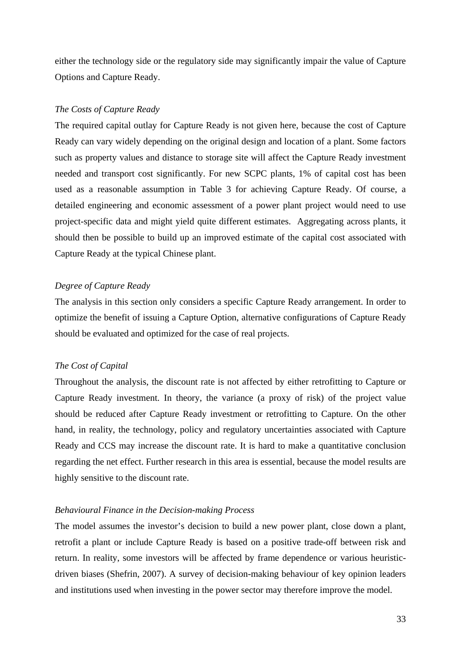either the technology side or the regulatory side may significantly impair the value of Capture Options and Capture Ready.

## *The Costs of Capture Ready*

The required capital outlay for Capture Ready is not given here, because the cost of Capture Ready can vary widely depending on the original design and location of a plant. Some factors such as property values and distance to storage site will affect the Capture Ready investment needed and transport cost significantly. For new SCPC plants, 1% of capital cost has been used as a reasonable assumption in Table 3 for achieving Capture Ready. Of course, a detailed engineering and economic assessment of a power plant project would need to use project-specific data and might yield quite different estimates. Aggregating across plants, it should then be possible to build up an improved estimate of the capital cost associated with Capture Ready at the typical Chinese plant.

## *Degree of Capture Ready*

The analysis in this section only considers a specific Capture Ready arrangement. In order to optimize the benefit of issuing a Capture Option, alternative configurations of Capture Ready should be evaluated and optimized for the case of real projects.

### *The Cost of Capital*

Throughout the analysis, the discount rate is not affected by either retrofitting to Capture or Capture Ready investment. In theory, the variance (a proxy of risk) of the project value should be reduced after Capture Ready investment or retrofitting to Capture. On the other hand, in reality, the technology, policy and regulatory uncertainties associated with Capture Ready and CCS may increase the discount rate. It is hard to make a quantitative conclusion regarding the net effect. Further research in this area is essential, because the model results are highly sensitive to the discount rate.

## *Behavioural Finance in the Decision-making Process*

The model assumes the investor's decision to build a new power plant, close down a plant, retrofit a plant or include Capture Ready is based on a positive trade-off between risk and return. In reality, some investors will be affected by frame dependence or various heuristicdriven biases (Shefrin, 2007). A survey of decision-making behaviour of key opinion leaders and institutions used when investing in the power sector may therefore improve the model.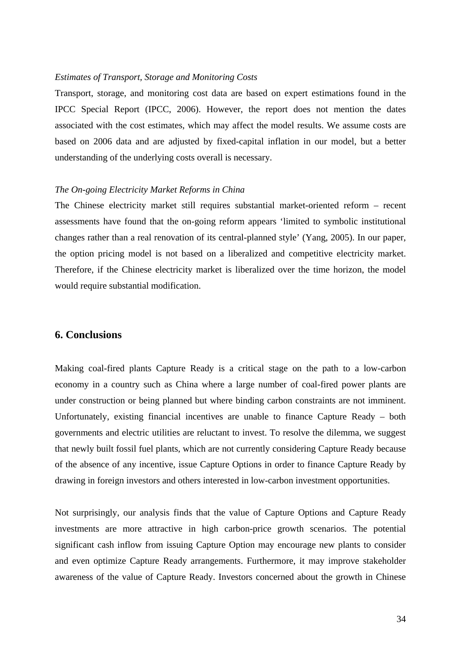## *Estimates of Transport, Storage and Monitoring Costs*

Transport, storage, and monitoring cost data are based on expert estimations found in the IPCC Special Report (IPCC, 2006). However, the report does not mention the dates associated with the cost estimates, which may affect the model results. We assume costs are based on 2006 data and are adjusted by fixed-capital inflation in our model, but a better understanding of the underlying costs overall is necessary.

#### *The On-going Electricity Market Reforms in China*

The Chinese electricity market still requires substantial market-oriented reform – recent assessments have found that the on-going reform appears 'limited to symbolic institutional changes rather than a real renovation of its central-planned style' (Yang, 2005). In our paper, the option pricing model is not based on a liberalized and competitive electricity market. Therefore, if the Chinese electricity market is liberalized over the time horizon, the model would require substantial modification.

## **6. Conclusions**

Making coal-fired plants Capture Ready is a critical stage on the path to a low-carbon economy in a country such as China where a large number of coal-fired power plants are under construction or being planned but where binding carbon constraints are not imminent. Unfortunately, existing financial incentives are unable to finance Capture Ready – both governments and electric utilities are reluctant to invest. To resolve the dilemma, we suggest that newly built fossil fuel plants, which are not currently considering Capture Ready because of the absence of any incentive, issue Capture Options in order to finance Capture Ready by drawing in foreign investors and others interested in low-carbon investment opportunities.

Not surprisingly, our analysis finds that the value of Capture Options and Capture Ready investments are more attractive in high carbon-price growth scenarios. The potential significant cash inflow from issuing Capture Option may encourage new plants to consider and even optimize Capture Ready arrangements. Furthermore, it may improve stakeholder awareness of the value of Capture Ready. Investors concerned about the growth in Chinese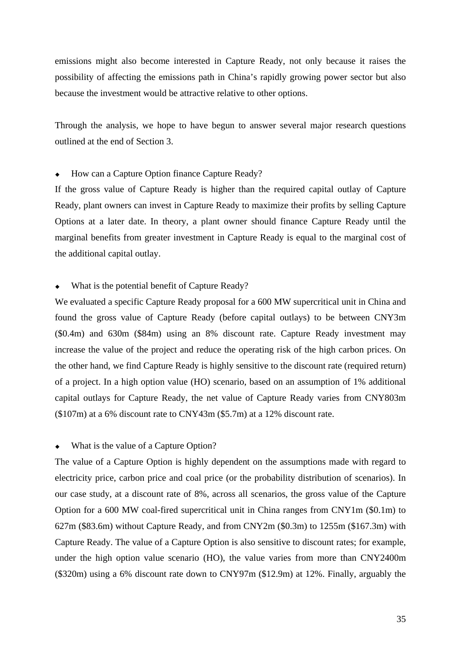emissions might also become interested in Capture Ready, not only because it raises the possibility of affecting the emissions path in China's rapidly growing power sector but also because the investment would be attractive relative to other options.

Through the analysis, we hope to have begun to answer several major research questions outlined at the end of Section 3.

## How can a Capture Option finance Capture Ready?

If the gross value of Capture Ready is higher than the required capital outlay of Capture Ready, plant owners can invest in Capture Ready to maximize their profits by selling Capture Options at a later date. In theory, a plant owner should finance Capture Ready until the marginal benefits from greater investment in Capture Ready is equal to the marginal cost of the additional capital outlay.

## What is the potential benefit of Capture Ready?

We evaluated a specific Capture Ready proposal for a 600 MW supercritical unit in China and found the gross value of Capture Ready (before capital outlays) to be between CNY3m (\$0.4m) and 630m (\$84m) using an 8% discount rate. Capture Ready investment may increase the value of the project and reduce the operating risk of the high carbon prices. On the other hand, we find Capture Ready is highly sensitive to the discount rate (required return) of a project. In a high option value (HO) scenario, based on an assumption of 1% additional capital outlays for Capture Ready, the net value of Capture Ready varies from CNY803m (\$107m) at a 6% discount rate to CNY43m (\$5.7m) at a 12% discount rate.

### What is the value of a Capture Option?

The value of a Capture Option is highly dependent on the assumptions made with regard to electricity price, carbon price and coal price (or the probability distribution of scenarios). In our case study, at a discount rate of 8%, across all scenarios, the gross value of the Capture Option for a 600 MW coal-fired supercritical unit in China ranges from CNY1m (\$0.1m) to 627m (\$83.6m) without Capture Ready, and from CNY2m (\$0.3m) to 1255m (\$167.3m) with Capture Ready. The value of a Capture Option is also sensitive to discount rates; for example, under the high option value scenario (HO), the value varies from more than CNY2400m (\$320m) using a 6% discount rate down to CNY97m (\$12.9m) at 12%. Finally, arguably the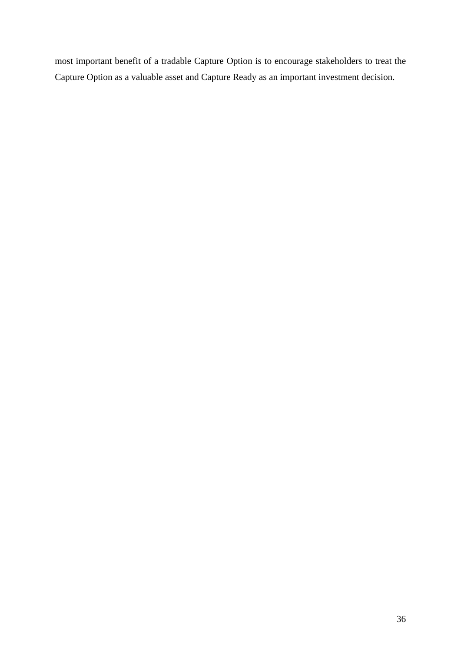most important benefit of a tradable Capture Option is to encourage stakeholders to treat the Capture Option as a valuable asset and Capture Ready as an important investment decision.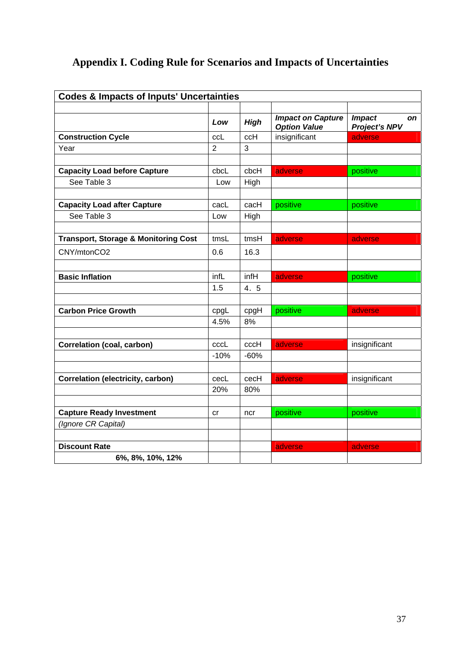# **Appendix I. Coding Rule for Scenarios and Impacts of Uncertainties**

| <b>Codes &amp; Impacts of Inputs' Uncertainties</b> |                |             |                                                 |                                                    |  |  |  |
|-----------------------------------------------------|----------------|-------------|-------------------------------------------------|----------------------------------------------------|--|--|--|
|                                                     | Low            | <b>High</b> | <b>Impact on Capture</b><br><b>Option Value</b> | <b>Impact</b><br><b>on</b><br><b>Project's NPV</b> |  |  |  |
| <b>Construction Cycle</b>                           | ccL            | ccH         | insignificant                                   | adverse                                            |  |  |  |
| Year                                                | $\overline{2}$ | 3           |                                                 |                                                    |  |  |  |
|                                                     |                |             |                                                 |                                                    |  |  |  |
| <b>Capacity Load before Capture</b>                 | cbcL           | cbcH        | adverse                                         | positive                                           |  |  |  |
| See Table 3                                         | Low            | High        |                                                 |                                                    |  |  |  |
|                                                     |                |             |                                                 |                                                    |  |  |  |
| <b>Capacity Load after Capture</b>                  | cacL           | cacH        | positive                                        | positive                                           |  |  |  |
| See Table 3                                         | Low            | High        |                                                 |                                                    |  |  |  |
|                                                     |                |             |                                                 |                                                    |  |  |  |
| <b>Transport, Storage &amp; Monitoring Cost</b>     | tmsL           | tmsH        | adverse                                         | adverse                                            |  |  |  |
| CNY/mtonCO2                                         | 0.6            | 16.3        |                                                 |                                                    |  |  |  |
|                                                     |                |             |                                                 |                                                    |  |  |  |
| <b>Basic Inflation</b>                              | infL           | infH        | adverse                                         | positive                                           |  |  |  |
|                                                     | 1.5            | 4. 5        |                                                 |                                                    |  |  |  |
|                                                     |                |             |                                                 |                                                    |  |  |  |
| <b>Carbon Price Growth</b>                          | cpgL           | cpgH        | positive                                        | adverse                                            |  |  |  |
|                                                     | 4.5%           | 8%          |                                                 |                                                    |  |  |  |
|                                                     |                |             |                                                 |                                                    |  |  |  |
| <b>Correlation (coal, carbon)</b>                   | cccL           | cccH        | adverse                                         | insignificant                                      |  |  |  |
|                                                     | $-10%$         | $-60%$      |                                                 |                                                    |  |  |  |
|                                                     |                |             |                                                 |                                                    |  |  |  |
| <b>Correlation (electricity, carbon)</b>            | cecL           | cecH        | adverse                                         | insignificant                                      |  |  |  |
|                                                     | 20%            | 80%         |                                                 |                                                    |  |  |  |
|                                                     |                |             |                                                 |                                                    |  |  |  |
| <b>Capture Ready Investment</b>                     | <b>cr</b>      | ncr         | positive                                        | positive                                           |  |  |  |
| (Ignore CR Capital)                                 |                |             |                                                 |                                                    |  |  |  |
|                                                     |                |             |                                                 |                                                    |  |  |  |
| <b>Discount Rate</b>                                |                |             | adverse                                         | adverse                                            |  |  |  |
| 6%, 8%, 10%, 12%                                    |                |             |                                                 |                                                    |  |  |  |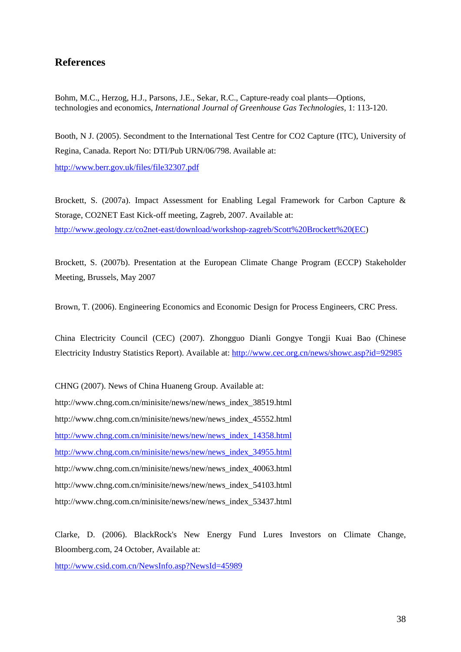# **References**

Bohm, M.C., Herzog, H.J., Parsons, J.E., Sekar, R.C., Capture-ready coal plants—Options, technologies and economics, *International Journal of Greenhouse Gas Technologies*, 1: 113-120.

Booth, N J. (2005). Secondment to the International Test Centre for CO2 Capture (ITC), University of Regina, Canada. Report No: DTI/Pub URN/06/798. Available at:

<http://www.berr.gov.uk/files/file32307.pdf>

Brockett, S. (2007a). Impact Assessment for Enabling Legal Framework for Carbon Capture & Storage, CO2NET East Kick-off meeting, Zagreb, 2007. Available at: [http://www.geology.cz/co2net-east/download/workshop-zagreb/Scott%20Brockett%20\(EC](http://www.geology.cz/co2net-east/download/workshop-zagreb/Scott%20Brockett%20(EC))

Brockett, S. (2007b). Presentation at the European Climate Change Program (ECCP) Stakeholder Meeting, Brussels, May 2007

Brown, T. (2006). Engineering Economics and Economic Design for Process Engineers, CRC Press.

China Electricity Council (CEC) (2007). Zhongguo Dianli Gongye Tongji Kuai Bao (Chinese Electricity Industry Statistics Report). Available at: <http://www.cec.org.cn/news/showc.asp?id=92985>

CHNG (2007). News of China Huaneng Group. Available at: http://www.chng.com.cn/minisite/news/new/news\_index\_38519.html http://www.chng.com.cn/minisite/news/new/news\_index\_45552.html http://www.chng.com.cn/minisite/news/new/news\_index\_14358.html http://www.chng.com.cn/minisite/news/new/news\_index\_34955.html http://www.chng.com.cn/minisite/news/new/news\_index\_40063.html http://www.chng.com.cn/minisite/news/new/news\_index\_54103.html http://www.chng.com.cn/minisite/news/new/news\_index\_53437.html

Clarke, D. (2006). BlackRock's New Energy Fund Lures Investors on Climate Change, Bloomberg.com, 24 October, Available at:

<http://www.csid.com.cn/NewsInfo.asp?NewsId=45989>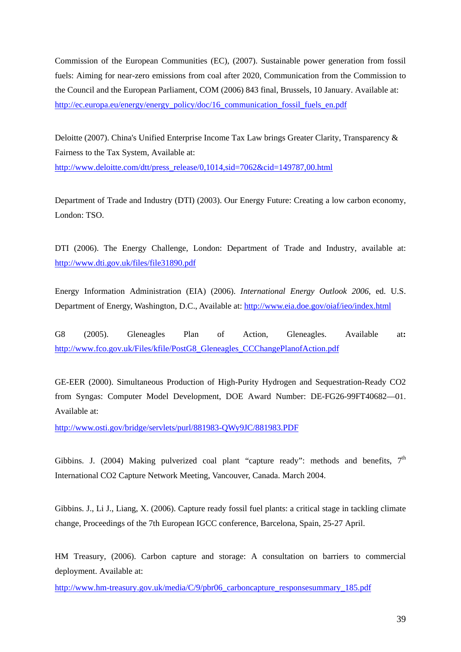Commission of the European Communities (EC), (2007). Sustainable power generation from fossil fuels: Aiming for near-zero emissions from coal after 2020, Communication from the Commission to the Council and the European Parliament, COM (2006) 843 final, Brussels, 10 January. Available at: [http://ec.europa.eu/energy/energy\\_policy/doc/16\\_communication\\_fossil\\_fuels\\_en.pdf](http://ec.europa.eu/energy/energy_policy/doc/16_communication_fossil_fuels_en.pdf)

Deloitte (2007). China's Unified Enterprise Income Tax Law brings Greater Clarity, Transparency & Fairness to the Tax System, Available at: [http://www.deloitte.com/dtt/press\\_release/0,1014,sid=7062&cid=149787,00.html](http://www.deloitte.com/dtt/press_release/0,1014,sid=7062&cid=149787,00.html)

Department of Trade and Industry (DTI) (2003). Our Energy Future: Creating a low carbon economy, London: TSO.

DTI (2006). The Energy Challenge, London: Department of Trade and Industry, available at: <http://www.dti.gov.uk/files/file31890.pdf>

Energy Information Administration (EIA) (2006). *International Energy Outlook 2006*, ed. U.S. Department of Energy, Washington, D.C., Available at: <http://www.eia.doe.gov/oiaf/ieo/index.html>

G8 (2005). Gleneagles Plan of Action, Gleneagles. Available at**:**  [http://www.fco.gov.uk/Files/kfile/PostG8\\_Gleneagles\\_CCChangePlanofAction.pdf](http://www.fco.gov.uk/Files/kfile/PostG8_Gleneagles_CCChangePlanofAction.pdf)

GE-EER (2000). Simultaneous Production of High-Purity Hydrogen and Sequestration-Ready CO2 from Syngas: Computer Model Development, DOE Award Number: DE-FG26-99FT40682—01. Available at:

<http://www.osti.gov/bridge/servlets/purl/881983-QWy9JC/881983.PDF>

Gibbins. J. (2004) Making pulverized coal plant "capture ready": methods and benefits,  $7<sup>th</sup>$ International CO2 Capture Network Meeting, Vancouver, Canada. March 2004.

Gibbins. J., Li J., Liang, X. (2006). Capture ready fossil fuel plants: a critical stage in tackling climate change, Proceedings of the 7th European IGCC conference, Barcelona, Spain, 25-27 April.

HM Treasury, (2006). Carbon capture and storage: A consultation on barriers to commercial deployment. Available at:

[http://www.hm-treasury.gov.uk/media/C/9/pbr06\\_carboncapture\\_responsesummary\\_185.pdf](http://www.hm-treasury.gov.uk/media/C/9/pbr06_carboncapture_responsesummary_185.pdf)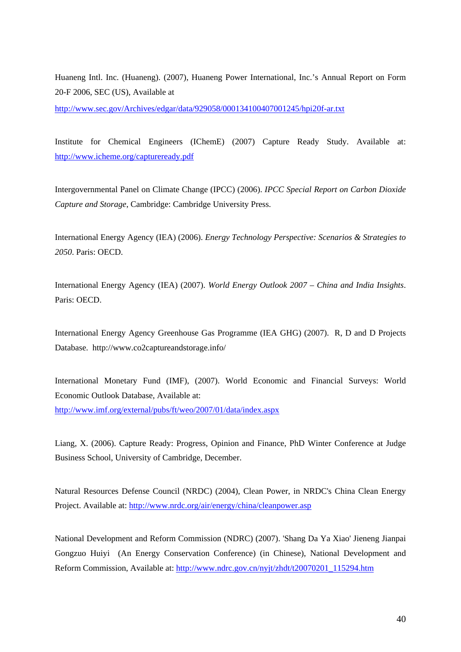Huaneng Intl. Inc. (Huaneng). (2007), Huaneng Power International, Inc.'s Annual Report on Form 20-F 2006, SEC (US), Available at

<http://www.sec.gov/Archives/edgar/data/929058/000134100407001245/hpi20f-ar.txt>

Institute for Chemical Engineers (IChemE) (2007) Capture Ready Study. Available at: <http://www.icheme.org/captureready.pdf>

Intergovernmental Panel on Climate Change (IPCC) (2006). *IPCC Special Report on Carbon Dioxide Capture and Storage*, Cambridge: Cambridge University Press.

International Energy Agency (IEA) (2006). *Energy Technology Perspective: Scenarios & Strategies to 2050*. Paris: OECD.

International Energy Agency (IEA) (2007). *World Energy Outlook 2007 – China and India Insights*. Paris: OECD.

International Energy Agency Greenhouse Gas Programme (IEA GHG) (2007). R, D and D Projects Database. http://www.co2captureandstorage.info/

International Monetary Fund (IMF), (2007). World Economic and Financial Surveys: World Economic Outlook Database, Available at: <http://www.imf.org/external/pubs/ft/weo/2007/01/data/index.aspx>

Liang, X. (2006). Capture Ready: Progress, Opinion and Finance, PhD Winter Conference at Judge Business School, University of Cambridge, December.

Natural Resources Defense Council (NRDC) (2004), Clean Power, in NRDC's China Clean Energy Project. Available at: <http://www.nrdc.org/air/energy/china/cleanpower.asp>

National Development and Reform Commission (NDRC) (2007). 'Shang Da Ya Xiao' Jieneng Jianpai Gongzuo Huiyi (An Energy Conservation Conference) (in Chinese), National Development and Reform Commission, Available at: [http://www.ndrc.gov.cn/nyjt/zhdt/t20070201\\_115294.htm](http://www.ndrc.gov.cn/nyjt/zhdt/t20070201_115294.htm)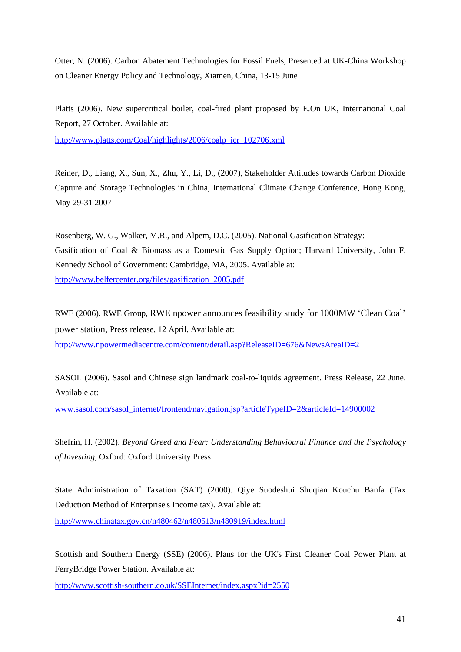Otter, N. (2006). Carbon Abatement Technologies for Fossil Fuels, Presented at UK-China Workshop on Cleaner Energy Policy and Technology, Xiamen, China, 13-15 June

Platts (2006). New supercritical boiler, coal-fired plant proposed by E.On UK, International Coal Report, 27 October. Available at:

[http://www.platts.com/Coal/highlights/2006/coalp\\_icr\\_102706.xml](http://www.platts.com/Coal/highlights/2006/coalp_icr_102706.xml)

Reiner, D., Liang, X., Sun, X., Zhu, Y., Li, D., (2007), Stakeholder Attitudes towards Carbon Dioxide Capture and Storage Technologies in China, International Climate Change Conference, Hong Kong, May 29-31 2007

Rosenberg, W. G., Walker, M.R., and Alpem, D.C. (2005). National Gasification Strategy: Gasification of Coal & Biomass as a Domestic Gas Supply Option; Harvard University, John F. Kennedy School of Government: Cambridge, MA, 2005. Available at: [http://www.belfercenter.org/files/gasification\\_2005.pdf](http://www.belfercenter.org/files/gasification_2005.pdf)

RWE (2006). RWE Group, RWE npower announces feasibility study for 1000MW 'Clean Coal' power station, Press release, 12 April. Available at: <http://www.npowermediacentre.com/content/detail.asp?ReleaseID=676&NewsAreaID=2>

SASOL (2006). Sasol and Chinese sign landmark coal-to-liquids agreement. Press Release, 22 June. Available at:

[www.sasol.com/sasol\\_internet/frontend/navigation.jsp?articleTypeID=2&articleId=14900002](http://www.sasol.com/sasol_internet/frontend/navigation.jsp?articleTypeID=2&articleId=14900002)

Shefrin, H. (2002). *Beyond Greed and Fear: Understanding Behavioural Finance and the Psychology of Investing*, Oxford: Oxford University Press

State Administration of Taxation (SAT) (2000). Qiye Suodeshui Shuqian Kouchu Banfa (Tax Deduction Method of Enterprise's Income tax). Available at:

<http://www.chinatax.gov.cn/n480462/n480513/n480919/index.html>

Scottish and Southern Energy (SSE) (2006). Plans for the UK's First Cleaner Coal Power Plant at FerryBridge Power Station. Available at:

<http://www.scottish-southern.co.uk/SSEInternet/index.aspx?id=2550>